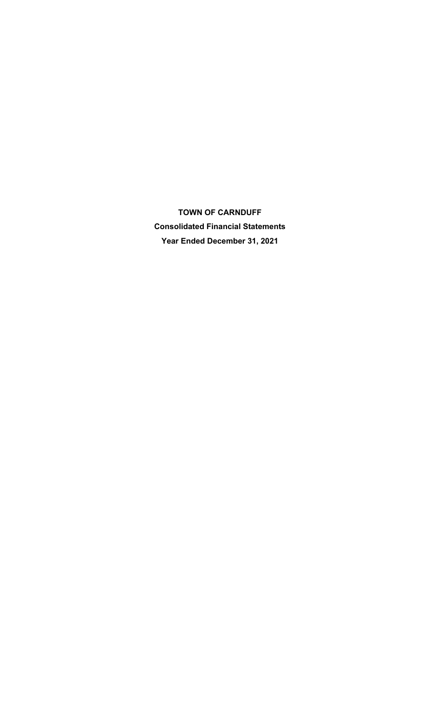**TOWN OF CARNDUFF Consolidated Financial Statements Year Ended December 31, 2021**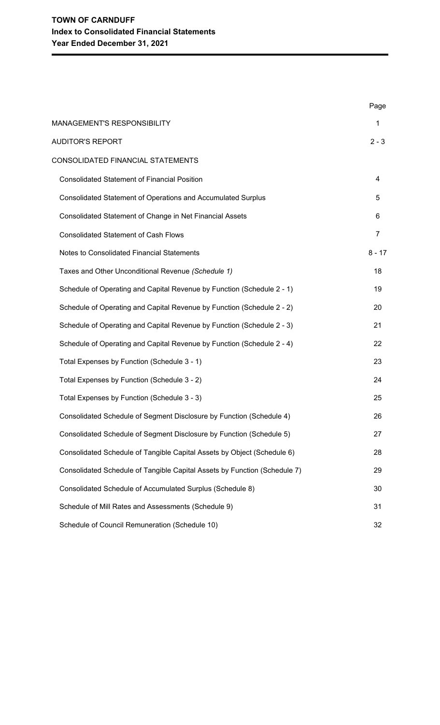|                                                                           | Page           |
|---------------------------------------------------------------------------|----------------|
| MANAGEMENT'S RESPONSIBILITY                                               | 1              |
| <b>AUDITOR'S REPORT</b>                                                   | $2 - 3$        |
| CONSOLIDATED FINANCIAL STATEMENTS                                         |                |
| <b>Consolidated Statement of Financial Position</b>                       | 4              |
| Consolidated Statement of Operations and Accumulated Surplus              | 5              |
| Consolidated Statement of Change in Net Financial Assets                  | 6              |
| <b>Consolidated Statement of Cash Flows</b>                               | $\overline{7}$ |
| Notes to Consolidated Financial Statements                                | $8 - 17$       |
| Taxes and Other Unconditional Revenue (Schedule 1)                        | 18             |
| Schedule of Operating and Capital Revenue by Function (Schedule 2 - 1)    | 19             |
| Schedule of Operating and Capital Revenue by Function (Schedule 2 - 2)    | 20             |
| Schedule of Operating and Capital Revenue by Function (Schedule 2 - 3)    | 21             |
| Schedule of Operating and Capital Revenue by Function (Schedule 2 - 4)    | 22             |
| Total Expenses by Function (Schedule 3 - 1)                               | 23             |
| Total Expenses by Function (Schedule 3 - 2)                               | 24             |
| Total Expenses by Function (Schedule 3 - 3)                               | 25             |
| Consolidated Schedule of Segment Disclosure by Function (Schedule 4)      | 26             |
| Consolidated Schedule of Segment Disclosure by Function (Schedule 5)      | 27             |
| Consolidated Schedule of Tangible Capital Assets by Object (Schedule 6)   | 28             |
| Consolidated Schedule of Tangible Capital Assets by Function (Schedule 7) | 29             |
| Consolidated Schedule of Accumulated Surplus (Schedule 8)                 | 30             |
| Schedule of Mill Rates and Assessments (Schedule 9)                       | 31             |
| Schedule of Council Remuneration (Schedule 10)                            | 32             |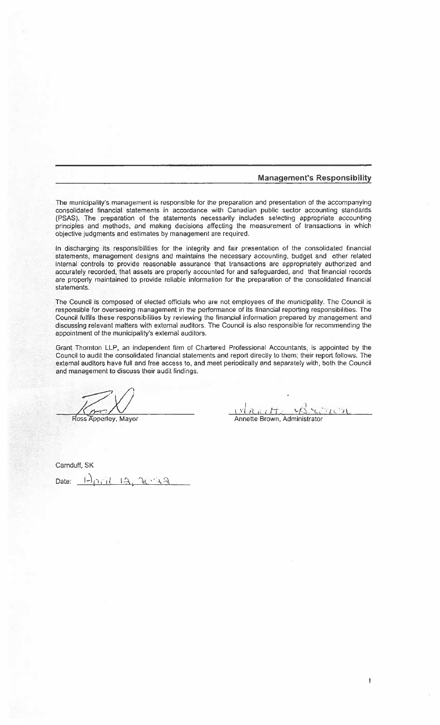#### **Management's Responsibility**

The municipality's management is responsible for the preparation and presentation of the accompanying consolidated financial statements in accordance with Canadian public sector accounting standards (PSAS). The preparation of the statements necessarily includes selecting appropriate accounting<br>principles and methods, and making decisions affecting the measurement of transactions in which objective judgments and estimates by management are required.

In discharging its responsibilities for the integrity and fair presentation of the consolidated financial statements, management designs and maintains the necessary accounting, budget and other related internal controls to provide reasonable assurance that transactions are appropriately authorized and accurately recorded, that assets are properly accounted for and safeguarded, and that financial records are properly maintained to provide reliable information for the preparation of the consolidated financial statements.

The Council is composed of elected officials who are not employees of the municipality. The Council is responsible for overseeing management in the performance of its financial reporting responsibilities. The Council fulfils these responsibilities by reviewing the financial information prepared by management and discussing relevant matters with external auditors. The Council is also responsible for recommending the appointment of the municipality's external auditors.

Grant Thornton LLP, an independent firm of Chartered Professional Accountants, is appointed by the Council to audit the consolidated financial statements and report directly to them; their report follows. The external auditors have full and free access to, and meet periodically and separately with, both the Council and management to discuss their audit findings.

Ross Apperley, Mayor

MARITE YSECTION Annette Brown, Administrator

Carnduff, SK 1-071 12, 2012 Date:

Ï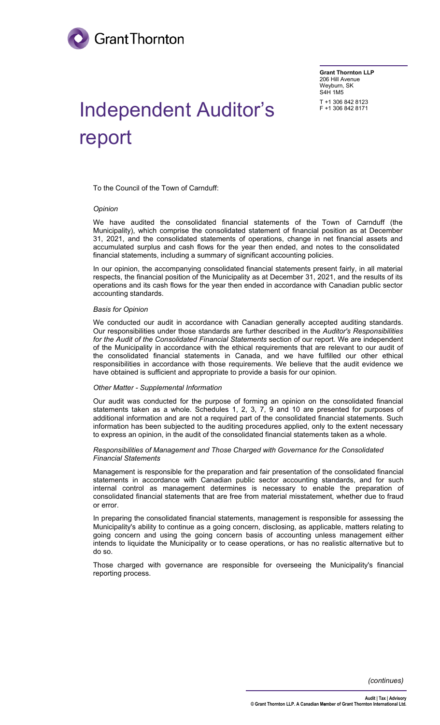

**Grant Thornton LLP** 206 Hill Avenue Weyburn, SK S4H 1M5 T +1 306 842 8123 F +1 306 842 8171

# Independent Auditor's report

To the Council of the Town of Carnduff:

#### *Opinion*

We have audited the consolidated financial statements of the Town of Carnduff (the Municipality), which comprise the consolidated statement of financial position as at December 31, 2021, and the consolidated statements of operations, change in net financial assets and accumulated surplus and cash flows for the year then ended, and notes to the consolidated financial statements, including a summary of significant accounting policies.

In our opinion, the accompanying consolidated financial statements present fairly, in all material respects, the financial position of the Municipality as at December 31, 2021, and the results of its operations and its cash flows for the year then ended in accordance with Canadian public sector accounting standards.

#### *Basis for Opinion*

We conducted our audit in accordance with Canadian generally accepted auditing standards. Our responsibilities under those standards are further described in the *Auditor's Responsibilities for the Audit of the Consolidated Financial Statements* section of our report. We are independent of the Municipality in accordance with the ethical requirements that are relevant to our audit of the consolidated financial statements in Canada, and we have fulfilled our other ethical responsibilities in accordance with those requirements. We believe that the audit evidence we have obtained is sufficient and appropriate to provide a basis for our opinion.

#### *Other Matter - Supplemental Information*

Our audit was conducted for the purpose of forming an opinion on the consolidated financial statements taken as a whole. Schedules 1, 2, 3, 7, 9 and 10 are presented for purposes of additional information and are not a required part of the consolidated financial statements. Such information has been subjected to the auditing procedures applied, only to the extent necessary to express an opinion, in the audit of the consolidated financial statements taken as a whole.

#### *Responsibilities of Management and Those Charged with Governance for the Consolidated Financial Statements*

Management is responsible for the preparation and fair presentation of the consolidated financial statements in accordance with Canadian public sector accounting standards, and for such internal control as management determines is necessary to enable the preparation of consolidated financial statements that are free from material misstatement, whether due to fraud or error.

In preparing the consolidated financial statements, management is responsible for assessing the Municipality's ability to continue as a going concern, disclosing, as applicable, matters relating to going concern and using the going concern basis of accounting unless management either intends to liquidate the Municipality or to cease operations, or has no realistic alternative but to do so.

Those charged with governance are responsible for overseeing the Municipality's financial reporting process.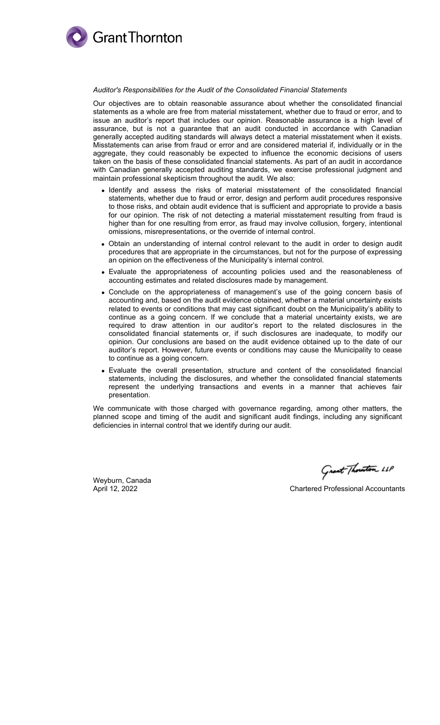

#### *Auditor's Responsibilities for the Audit of the Consolidated Financial Statements*

Our objectives are to obtain reasonable assurance about whether the consolidated financial statements as a whole are free from material misstatement, whether due to fraud or error, and to issue an auditor's report that includes our opinion. Reasonable assurance is a high level of assurance, but is not a guarantee that an audit conducted in accordance with Canadian generally accepted auditing standards will always detect a material misstatement when it exists. Misstatements can arise from fraud or error and are considered material if, individually or in the aggregate, they could reasonably be expected to influence the economic decisions of users taken on the basis of these consolidated financial statements. As part of an audit in accordance with Canadian generally accepted auditing standards, we exercise professional judgment and maintain professional skepticism throughout the audit. We also:

- Identify and assess the risks of material misstatement of the consolidated financial statements, whether due to fraud or error, design and perform audit procedures responsive to those risks, and obtain audit evidence that is sufficient and appropriate to provide a basis for our opinion. The risk of not detecting a material misstatement resulting from fraud is higher than for one resulting from error, as fraud may involve collusion, forgery, intentional omissions, misrepresentations, or the override of internal control.
- Obtain an understanding of internal control relevant to the audit in order to design audit procedures that are appropriate in the circumstances, but not for the purpose of expressing an opinion on the effectiveness of the Municipality's internal control.
- Evaluate the appropriateness of accounting policies used and the reasonableness of accounting estimates and related disclosures made by management.
- Conclude on the appropriateness of management's use of the going concern basis of accounting and, based on the audit evidence obtained, whether a material uncertainty exists related to events or conditions that may cast significant doubt on the Municipality's ability to continue as a going concern. If we conclude that a material uncertainty exists, we are required to draw attention in our auditor's report to the related disclosures in the consolidated financial statements or, if such disclosures are inadequate, to modify our opinion. Our conclusions are based on the audit evidence obtained up to the date of our auditor's report. However, future events or conditions may cause the Municipality to cease to continue as a going concern.
- Evaluate the overall presentation, structure and content of the consolidated financial statements, including the disclosures, and whether the consolidated financial statements represent the underlying transactions and events in a manner that achieves fair presentation.

We communicate with those charged with governance regarding, among other matters, the planned scope and timing of the audit and significant audit findings, including any significant deficiencies in internal control that we identify during our audit.

Weyburn, Canada

Grant Thouton LLP

April 12, 2022 Chartered Professional Accountants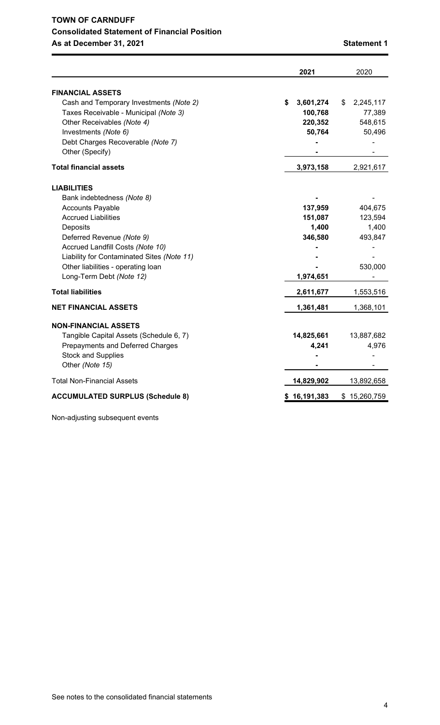# **TOWN OF CARNDUFF Consolidated Statement of Financial Position As at December 31, 2021**

| <b>Statement 1</b> |  |
|--------------------|--|
|--------------------|--|

|                                            | 2021            | 2020            |
|--------------------------------------------|-----------------|-----------------|
| <b>FINANCIAL ASSETS</b>                    |                 |                 |
| Cash and Temporary Investments (Note 2)    | \$<br>3,601,274 | \$<br>2,245,117 |
| Taxes Receivable - Municipal (Note 3)      | 100,768         | 77,389          |
| Other Receivables (Note 4)                 | 220,352         | 548,615         |
| Investments (Note 6)                       | 50,764          | 50,496          |
| Debt Charges Recoverable (Note 7)          |                 |                 |
| Other (Specify)                            |                 |                 |
| <b>Total financial assets</b>              | 3,973,158       | 2,921,617       |
| <b>LIABILITIES</b>                         |                 |                 |
| Bank indebtedness (Note 8)                 |                 |                 |
| <b>Accounts Payable</b>                    | 137,959         | 404,675         |
| <b>Accrued Liabilities</b>                 | 151,087         | 123,594         |
| Deposits                                   | 1,400           | 1,400           |
| Deferred Revenue (Note 9)                  | 346,580         | 493,847         |
| Accrued Landfill Costs (Note 10)           |                 |                 |
| Liability for Contaminated Sites (Note 11) |                 |                 |
| Other liabilities - operating loan         |                 | 530,000         |
| Long-Term Debt (Note 12)                   | 1,974,651       |                 |
| <b>Total liabilities</b>                   | 2,611,677       | 1,553,516       |
| <b>NET FINANCIAL ASSETS</b>                | 1,361,481       | 1,368,101       |
| <b>NON-FINANCIAL ASSETS</b>                |                 |                 |
| Tangible Capital Assets (Schedule 6, 7)    | 14,825,661      | 13,887,682      |
| Prepayments and Deferred Charges           | 4,241           | 4,976           |
| <b>Stock and Supplies</b>                  |                 |                 |
| Other (Note 15)                            |                 |                 |
| <b>Total Non-Financial Assets</b>          | 14,829,902      | 13,892,658      |
| <b>ACCUMULATED SURPLUS (Schedule 8)</b>    | \$16,191,383    | \$15,260,759    |

Non-adjusting subsequent events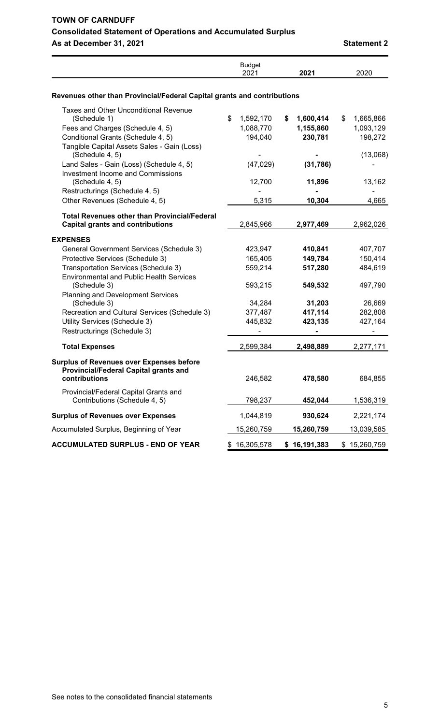# **TOWN OF CARNDUFF Consolidated Statement of Operations and Accumulated Surplus**

**As at December 31, 2021 Statement 2**

|                                                                                      | <b>Budget</b><br>2021 | 2021            | 2020            |
|--------------------------------------------------------------------------------------|-----------------------|-----------------|-----------------|
| Revenues other than Provincial/Federal Capital grants and contributions              |                       |                 |                 |
| <b>Taxes and Other Unconditional Revenue</b>                                         |                       |                 |                 |
| (Schedule 1)                                                                         | \$<br>1,592,170       | \$<br>1,600,414 | \$<br>1,665,866 |
| Fees and Charges (Schedule 4, 5)                                                     | 1,088,770             | 1,155,860       | 1,093,129       |
| Conditional Grants (Schedule 4, 5)                                                   | 194,040               | 230,781         | 198,272         |
| Tangible Capital Assets Sales - Gain (Loss)<br>(Schedule 4, 5)                       |                       |                 | (13,068)        |
| Land Sales - Gain (Loss) (Schedule 4, 5)<br><b>Investment Income and Commissions</b> | (47, 029)             | (31, 786)       |                 |
| (Schedule 4, 5)                                                                      | 12,700                | 11,896          | 13,162          |
| Restructurings (Schedule 4, 5)                                                       |                       |                 |                 |
| Other Revenues (Schedule 4, 5)                                                       | 5,315                 | 10,304          | 4,665           |
| <b>Total Revenues other than Provincial/Federal</b>                                  |                       |                 |                 |
| <b>Capital grants and contributions</b>                                              | 2,845,966             | 2,977,469       | 2,962,026       |
| <b>EXPENSES</b>                                                                      |                       |                 |                 |
| General Government Services (Schedule 3)                                             | 423,947               | 410,841         | 407,707         |
| Protective Services (Schedule 3)                                                     | 165,405               | 149,784         | 150,414         |
| Transportation Services (Schedule 3)                                                 | 559,214               | 517,280         | 484,619         |
| <b>Environmental and Public Health Services</b>                                      |                       |                 |                 |
| (Schedule 3)                                                                         | 593,215               | 549,532         | 497,790         |
| Planning and Development Services                                                    |                       |                 |                 |
| (Schedule 3)                                                                         | 34,284                | 31,203          | 26,669          |
| Recreation and Cultural Services (Schedule 3)                                        | 377,487               | 417,114         | 282,808         |
| Utility Services (Schedule 3)                                                        | 445,832               | 423,135         | 427,164         |
| Restructurings (Schedule 3)                                                          |                       |                 |                 |
| <b>Total Expenses</b>                                                                | 2,599,384             | 2,498,889       | 2,277,171       |
| <b>Surplus of Revenues over Expenses before</b>                                      |                       |                 |                 |
| <b>Provincial/Federal Capital grants and</b><br>contributions                        | 246,582               | 478,580         | 684,855         |
|                                                                                      |                       |                 |                 |
| Provincial/Federal Capital Grants and<br>Contributions (Schedule 4, 5)               | 798,237               | 452,044         | 1,536,319       |
| <b>Surplus of Revenues over Expenses</b>                                             | 1,044,819             | 930,624         | 2,221,174       |
| Accumulated Surplus, Beginning of Year                                               | 15,260,759            | 15,260,759      | 13,039,585      |
| <b>ACCUMULATED SURPLUS - END OF YEAR</b>                                             | \$16,305,578          | \$16,191,383    | \$15,260,759    |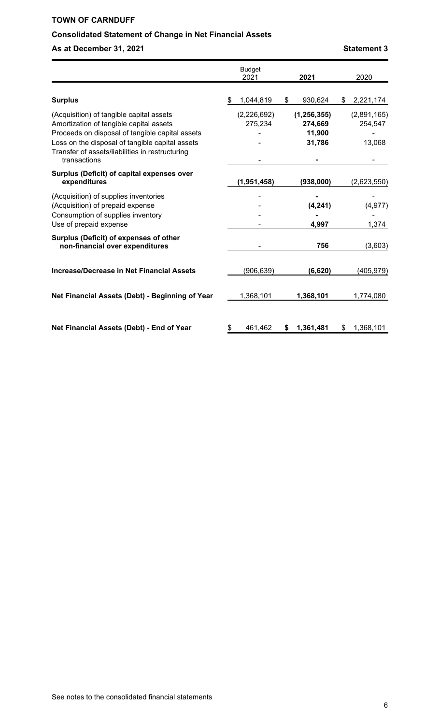# **Consolidated Statement of Change in Net Financial Assets**

**As at December 31, 2021 Statement 3**

|                                                                                                                                                                                                                                                              | <b>Budget</b><br>2021  | 2021                                         |                                  |
|--------------------------------------------------------------------------------------------------------------------------------------------------------------------------------------------------------------------------------------------------------------|------------------------|----------------------------------------------|----------------------------------|
|                                                                                                                                                                                                                                                              |                        |                                              |                                  |
| <b>Surplus</b>                                                                                                                                                                                                                                               | 1,044,819<br>\$        | \$<br>930,624                                | \$<br>2,221,174                  |
| (Acquisition) of tangible capital assets<br>Amortization of tangible capital assets<br>Proceeds on disposal of tangible capital assets<br>Loss on the disposal of tangible capital assets<br>Transfer of assets/liabilities in restructuring<br>transactions | (2,226,692)<br>275,234 | (1, 256, 355)<br>274,669<br>11,900<br>31,786 | (2,891,165)<br>254,547<br>13,068 |
| Surplus (Deficit) of capital expenses over<br>expenditures                                                                                                                                                                                                   | (1,951,458)            | (938,000)                                    | (2,623,550)                      |
| (Acquisition) of supplies inventories<br>(Acquisition) of prepaid expense<br>Consumption of supplies inventory<br>Use of prepaid expense                                                                                                                     |                        | (4, 241)<br>4,997                            | (4, 977)<br>1,374                |
| Surplus (Deficit) of expenses of other<br>non-financial over expenditures                                                                                                                                                                                    |                        | 756                                          | (3,603)                          |
| <b>Increase/Decrease in Net Financial Assets</b>                                                                                                                                                                                                             | (906, 639)             | (6,620)                                      | (405,979)                        |
| Net Financial Assets (Debt) - Beginning of Year                                                                                                                                                                                                              | 1,368,101              | 1,368,101                                    | 1,774,080                        |
| Net Financial Assets (Debt) - End of Year                                                                                                                                                                                                                    | \$<br>461,462          | 1,361,481<br>\$                              | 1,368,101<br>\$                  |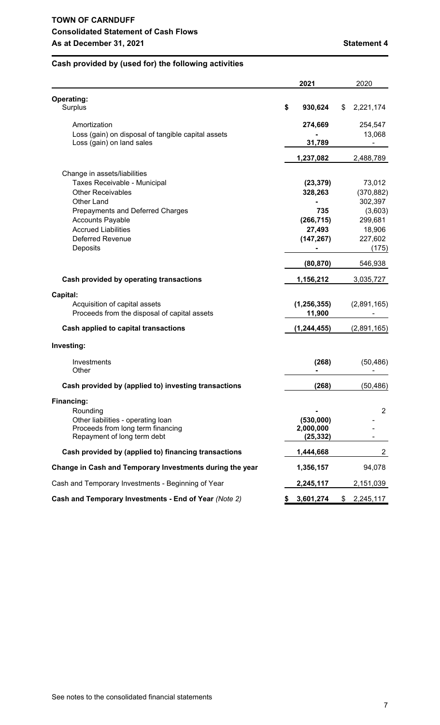# **Cash provided by (used for) the following activities**

|                                                                                                                                                       | 2021                                      | 2020                                                        |
|-------------------------------------------------------------------------------------------------------------------------------------------------------|-------------------------------------------|-------------------------------------------------------------|
| <b>Operating:</b><br>Surplus                                                                                                                          | \$<br>930,624                             | \$<br>2,221,174                                             |
| Amortization<br>Loss (gain) on disposal of tangible capital assets<br>Loss (gain) on land sales                                                       | 274,669<br>31,789                         | 254,547<br>13,068                                           |
|                                                                                                                                                       | 1,237,082                                 | 2,488,789                                                   |
| Change in assets/liabilities<br>Taxes Receivable - Municipal<br><b>Other Receivables</b>                                                              | (23, 379)<br>328,263                      | 73,012<br>(370, 882)                                        |
| <b>Other Land</b><br>Prepayments and Deferred Charges<br><b>Accounts Payable</b><br><b>Accrued Liabilities</b><br><b>Deferred Revenue</b><br>Deposits | 735<br>(266, 715)<br>27,493<br>(147, 267) | 302,397<br>(3,603)<br>299,681<br>18,906<br>227,602<br>(175) |
|                                                                                                                                                       | (80, 870)                                 | 546,938                                                     |
| Cash provided by operating transactions                                                                                                               | 1,156,212                                 | 3,035,727                                                   |
| Capital:<br>Acquisition of capital assets<br>Proceeds from the disposal of capital assets                                                             | (1, 256, 355)<br>11,900                   | (2,891,165)                                                 |
| Cash applied to capital transactions                                                                                                                  | (1, 244, 455)                             | (2,891,165)                                                 |
| Investing:                                                                                                                                            |                                           |                                                             |
| Investments<br>Other                                                                                                                                  | (268)                                     | (50, 486)                                                   |
| Cash provided by (applied to) investing transactions                                                                                                  | (268)                                     | (50, 486)                                                   |
| <b>Financing:</b><br>Rounding<br>Other liabilities - operating loan<br>Proceeds from long term financing<br>Repayment of long term debt               | (530,000)<br>2,000,000<br>(25, 332)       | $\overline{2}$                                              |
| Cash provided by (applied to) financing transactions                                                                                                  | 1,444,668                                 | 2                                                           |
| Change in Cash and Temporary Investments during the year                                                                                              | 1,356,157                                 | 94,078                                                      |
| Cash and Temporary Investments - Beginning of Year                                                                                                    | 2,245,117                                 | 2,151,039                                                   |
| Cash and Temporary Investments - End of Year (Note 2)                                                                                                 | 3,601,274                                 | \$<br>2,245,117                                             |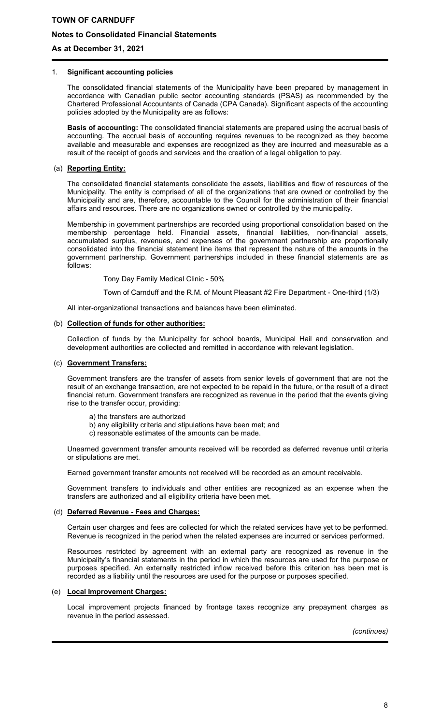### **As at December 31, 2021**

#### 1. **Significant accounting policies**

The consolidated financial statements of the Municipality have been prepared by management in accordance with Canadian public sector accounting standards (PSAS) as recommended by the Chartered Professional Accountants of Canada (CPA Canada). Significant aspects of the accounting policies adopted by the Municipality are as follows:

**Basis of accounting:** The consolidated financial statements are prepared using the accrual basis of accounting. The accrual basis of accounting requires revenues to be recognized as they become available and measurable and expenses are recognized as they are incurred and measurable as a result of the receipt of goods and services and the creation of a legal obligation to pay.

#### (a) **Reporting Entity:**

The consolidated financial statements consolidate the assets, liabilities and flow of resources of the Municipality. The entity is comprised of all of the organizations that are owned or controlled by the Municipality and are, therefore, accountable to the Council for the administration of their financial affairs and resources. There are no organizations owned or controlled by the municipality.

Membership in government partnerships are recorded using proportional consolidation based on the membership percentage held. Financial assets, financial liabilities, non-financial assets, accumulated surplus, revenues, and expenses of the government partnership are proportionally consolidated into the financial statement line items that represent the nature of the amounts in the government partnership. Government partnerships included in these financial statements are as follows:

Tony Day Family Medical Clinic - 50%

Town of Carnduff and the R.M. of Mount Pleasant #2 Fire Department - One-third (1/3)

All inter-organizational transactions and balances have been eliminated.

#### (b) **Collection of funds for other authorities:**

Collection of funds by the Municipality for school boards, Municipal Hail and conservation and development authorities are collected and remitted in accordance with relevant legislation.

#### (c) **Government Transfers:**

Government transfers are the transfer of assets from senior levels of government that are not the result of an exchange transaction, are not expected to be repaid in the future, or the result of a direct financial return. Government transfers are recognized as revenue in the period that the events giving rise to the transfer occur, providing:

- a) the transfers are authorized
- b) any eligibility criteria and stipulations have been met; and
- c) reasonable estimates of the amounts can be made.

Unearned government transfer amounts received will be recorded as deferred revenue until criteria or stipulations are met.

Earned government transfer amounts not received will be recorded as an amount receivable.

Government transfers to individuals and other entities are recognized as an expense when the transfers are authorized and all eligibility criteria have been met.

#### (d) **Deferred Revenue - Fees and Charges:**

Certain user charges and fees are collected for which the related services have yet to be performed. Revenue is recognized in the period when the related expenses are incurred or services performed.

Resources restricted by agreement with an external party are recognized as revenue in the Municipality's financial statements in the period in which the resources are used for the purpose or purposes specified. An externally restricted inflow received before this criterion has been met is recorded as a liability until the resources are used for the purpose or purposes specified.

#### (e) **Local Improvement Charges:**

Local improvement projects financed by frontage taxes recognize any prepayment charges as revenue in the period assessed.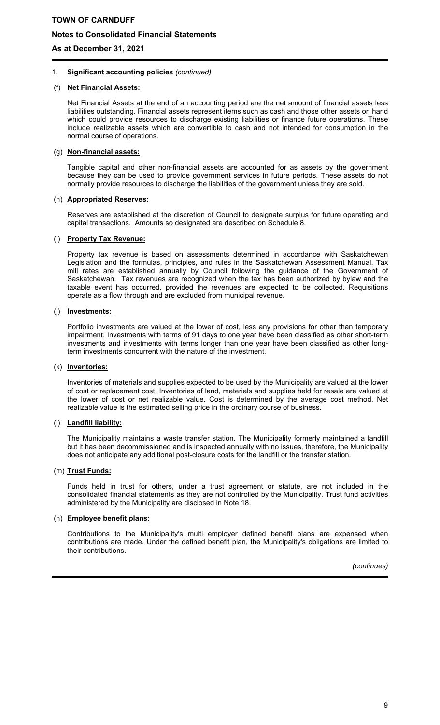### **Notes to Consolidated Financial Statements**

### **As at December 31, 2021**

#### 1. **Significant accounting policies** *(continued)*

#### (f) **Net Financial Assets:**

Net Financial Assets at the end of an accounting period are the net amount of financial assets less liabilities outstanding. Financial assets represent items such as cash and those other assets on hand which could provide resources to discharge existing liabilities or finance future operations. These include realizable assets which are convertible to cash and not intended for consumption in the normal course of operations.

#### (g) **Non-financial assets:**

Tangible capital and other non-financial assets are accounted for as assets by the government because they can be used to provide government services in future periods. These assets do not normally provide resources to discharge the liabilities of the government unless they are sold.

#### (h) **Appropriated Reserves:**

Reserves are established at the discretion of Council to designate surplus for future operating and capital transactions. Amounts so designated are described on Schedule 8.

#### (i) **Property Tax Revenue:**

Property tax revenue is based on assessments determined in accordance with Saskatchewan Legislation and the formulas, principles, and rules in the Saskatchewan Assessment Manual. Tax mill rates are established annually by Council following the guidance of the Government of Saskatchewan. Tax revenues are recognized when the tax has been authorized by bylaw and the taxable event has occurred, provided the revenues are expected to be collected. Requisitions operate as a flow through and are excluded from municipal revenue.

#### (j) **Investments:**

Portfolio investments are valued at the lower of cost, less any provisions for other than temporary impairment. Investments with terms of 91 days to one year have been classified as other short-term investments and investments with terms longer than one year have been classified as other longterm investments concurrent with the nature of the investment.

#### (k) **Inventories:**

Inventories of materials and supplies expected to be used by the Municipality are valued at the lower of cost or replacement cost. Inventories of land, materials and supplies held for resale are valued at the lower of cost or net realizable value. Cost is determined by the average cost method. Net realizable value is the estimated selling price in the ordinary course of business.

#### (l) **Landfill liability:**

The Municipality maintains a waste transfer station. The Municipality formerly maintained a landfill but it has been decommissioned and is inspected annually with no issues, therefore, the Municipality does not anticipate any additional post-closure costs for the landfill or the transfer station.

#### (m) **Trust Funds:**

Funds held in trust for others, under a trust agreement or statute, are not included in the consolidated financial statements as they are not controlled by the Municipality. Trust fund activities administered by the Municipality are disclosed in Note 18.

#### (n) **Employee benefit plans:**

Contributions to the Municipality's multi employer defined benefit plans are expensed when contributions are made. Under the defined benefit plan, the Municipality's obligations are limited to their contributions.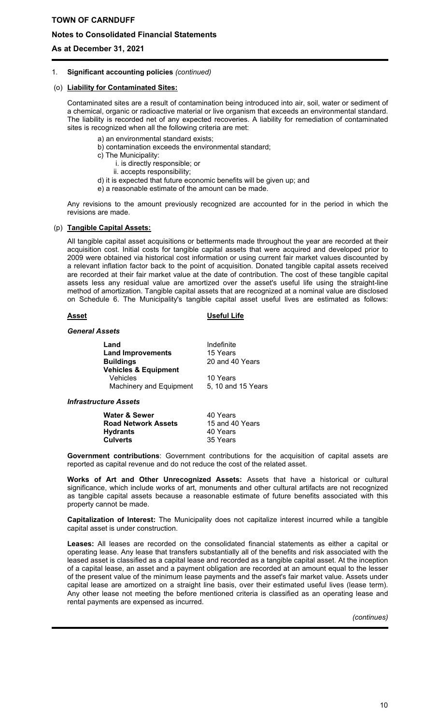#### **Notes to Consolidated Financial Statements**

#### **As at December 31, 2021**

#### 1. **Significant accounting policies** *(continued)*

#### (o) **Liability for Contaminated Sites:**

Contaminated sites are a result of contamination being introduced into air, soil, water or sediment of a chemical, organic or radioactive material or live organism that exceeds an environmental standard. The liability is recorded net of any expected recoveries. A liability for remediation of contaminated sites is recognized when all the following criteria are met:

- a) an environmental standard exists;
- b) contamination exceeds the environmental standard;
- c) The Municipality:
	- i. is directly responsible; or
	- ii. accepts responsibility;
- d) it is expected that future economic benefits will be given up; and
- e) a reasonable estimate of the amount can be made.

Any revisions to the amount previously recognized are accounted for in the period in which the revisions are made.

#### (p) **Tangible Capital Assets:**

All tangible capital asset acquisitions or betterments made throughout the year are recorded at their acquisition cost. Initial costs for tangible capital assets that were acquired and developed prior to 2009 were obtained via historical cost information or using current fair market values discounted by a relevant inflation factor back to the point of acquisition. Donated tangible capital assets received are recorded at their fair market value at the date of contribution. The cost of these tangible capital assets less any residual value are amortized over the asset's useful life using the straight-line method of amortization. Tangible capital assets that are recognized at a nominal value are disclosed on Schedule 6. The Municipality's tangible capital asset useful lives are estimated as follows:

#### **Asset Useful Life**

#### *General Assets*

| Land                            | Indefinite         |
|---------------------------------|--------------------|
| <b>Land Improvements</b>        | 15 Years           |
| <b>Buildings</b>                | 20 and 40 Years    |
| <b>Vehicles &amp; Equipment</b> |                    |
| Vehicles                        | 10 Years           |
| Machinery and Equipment         | 5, 10 and 15 Years |

#### *Infrastructure Assets*

| Water & Sewer              | 40 Years        |
|----------------------------|-----------------|
| <b>Road Network Assets</b> | 15 and 40 Years |
| Hydrants                   | 40 Years        |
| Culverts                   | 35 Years        |

**Government contributions**: Government contributions for the acquisition of capital assets are reported as capital revenue and do not reduce the cost of the related asset.

**Works of Art and Other Unrecognized Assets:** Assets that have a historical or cultural significance, which include works of art, monuments and other cultural artifacts are not recognized as tangible capital assets because a reasonable estimate of future benefits associated with this property cannot be made.

**Capitalization of Interest:** The Municipality does not capitalize interest incurred while a tangible capital asset is under construction.

**Leases:** All leases are recorded on the consolidated financial statements as either a capital or operating lease. Any lease that transfers substantially all of the benefits and risk associated with the leased asset is classified as a capital lease and recorded as a tangible capital asset. At the inception of a capital lease, an asset and a payment obligation are recorded at an amount equal to the lesser of the present value of the minimum lease payments and the asset's fair market value. Assets under capital lease are amortized on a straight line basis, over their estimated useful lives (lease term). Any other lease not meeting the before mentioned criteria is classified as an operating lease and rental payments are expensed as incurred.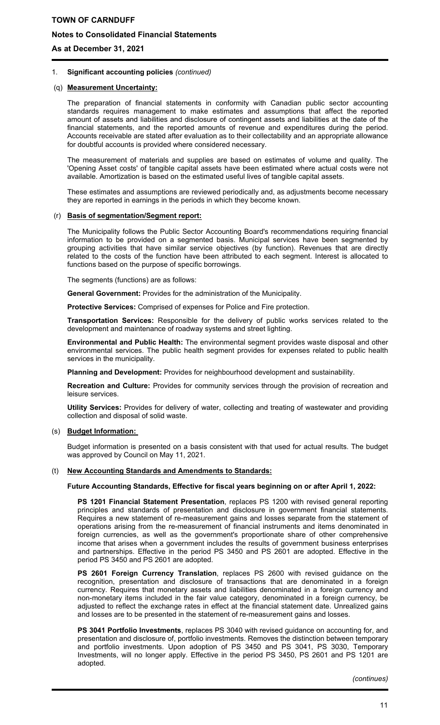#### **Notes to Consolidated Financial Statements**

#### **As at December 31, 2021**

#### 1. **Significant accounting policies** *(continued)*

#### (q) **Measurement Uncertainty:**

The preparation of financial statements in conformity with Canadian public sector accounting standards requires management to make estimates and assumptions that affect the reported amount of assets and liabilities and disclosure of contingent assets and liabilities at the date of the financial statements, and the reported amounts of revenue and expenditures during the period. Accounts receivable are stated after evaluation as to their collectability and an appropriate allowance for doubtful accounts is provided where considered necessary.

The measurement of materials and supplies are based on estimates of volume and quality. The 'Opening Asset costs' of tangible capital assets have been estimated where actual costs were not available. Amortization is based on the estimated useful lives of tangible capital assets.

These estimates and assumptions are reviewed periodically and, as adjustments become necessary they are reported in earnings in the periods in which they become known.

#### (r) **Basis of segmentation/Segment report:**

The Municipality follows the Public Sector Accounting Board's recommendations requiring financial information to be provided on a segmented basis. Municipal services have been segmented by grouping activities that have similar service objectives (by function). Revenues that are directly related to the costs of the function have been attributed to each segment. Interest is allocated to functions based on the purpose of specific borrowings.

The segments (functions) are as follows:

**General Government:** Provides for the administration of the Municipality.

**Protective Services:** Comprised of expenses for Police and Fire protection.

**Transportation Services:** Responsible for the delivery of public works services related to the development and maintenance of roadway systems and street lighting.

**Environmental and Public Health:** The environmental segment provides waste disposal and other environmental services. The public health segment provides for expenses related to public health services in the municipality.

**Planning and Development:** Provides for neighbourhood development and sustainability.

**Recreation and Culture:** Provides for community services through the provision of recreation and leisure services.

**Utility Services:** Provides for delivery of water, collecting and treating of wastewater and providing collection and disposal of solid waste.

#### (s) **Budget Information:**

Budget information is presented on a basis consistent with that used for actual results. The budget was approved by Council on May 11, 2021.

#### **New Accounting Standards and Amendments to Standards:**

#### **Future Accounting Standards, Effective for fiscal years beginning on or after April 1, 2022:**

**PS 1201 Financial Statement Presentation**, replaces PS 1200 with revised general reporting principles and standards of presentation and disclosure in government financial statements. Requires a new statement of re-measurement gains and losses separate from the statement of operations arising from the re-measurement of financial instruments and items denominated in foreign currencies, as well as the government's proportionate share of other comprehensive income that arises when a government includes the results of government business enterprises and partnerships. Effective in the period PS 3450 and PS 2601 are adopted. Effective in the period PS 3450 and PS 2601 are adopted.

**PS 2601 Foreign Currency Translation**, replaces PS 2600 with revised guidance on the recognition, presentation and disclosure of transactions that are denominated in a foreign currency. Requires that monetary assets and liabilities denominated in a foreign currency and non-monetary items included in the fair value category, denominated in a foreign currency, be adjusted to reflect the exchange rates in effect at the financial statement date. Unrealized gains and losses are to be presented in the statement of re-measurement gains and losses.

**PS 3041 Portfolio Investments**, replaces PS 3040 with revised guidance on accounting for, and presentation and disclosure of, portfolio investments. Removes the distinction between temporary and portfolio investments. Upon adoption of PS 3450 and PS 3041, PS 3030, Temporary Investments, will no longer apply. Effective in the period PS 3450, PS 2601 and PS 1201 are adopted.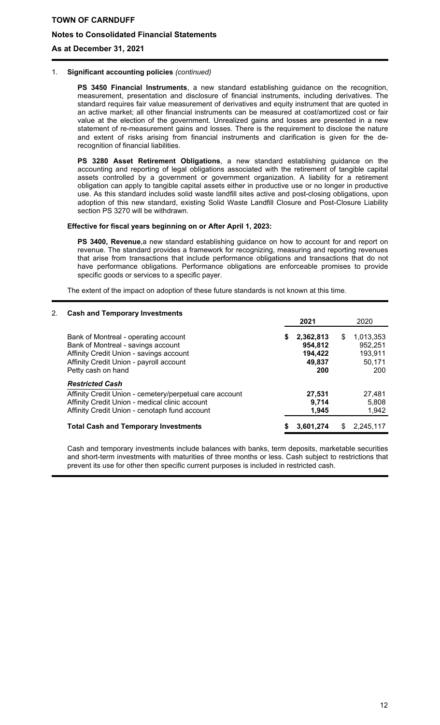# **TOWN OF CARNDUFF Notes to Consolidated Financial Statements**

### **As at December 31, 2021**

#### 1. **Significant accounting policies** *(continued)*

**PS 3450 Financial Instruments**, a new standard establishing guidance on the recognition, measurement, presentation and disclosure of financial instruments, including derivatives. The standard requires fair value measurement of derivatives and equity instrument that are quoted in an active market; all other financial instruments can be measured at cost/amortized cost or fair value at the election of the government. Unrealized gains and losses are presented in a new statement of re-measurement gains and losses. There is the requirement to disclose the nature and extent of risks arising from financial instruments and clarification is given for the derecognition of financial liabilities.

**PS 3280 Asset Retirement Obligations**, a new standard establishing guidance on the accounting and reporting of legal obligations associated with the retirement of tangible capital assets controlled by a government or government organization. A liability for a retirement obligation can apply to tangible capital assets either in productive use or no longer in productive use. As this standard includes solid waste landfill sites active and post-closing obligations, upon adoption of this new standard, existing Solid Waste Landfill Closure and Post-Closure Liability section PS 3270 will be withdrawn.

#### **Effective for fiscal years beginning on or After April 1, 2023:**

**PS 3400, Revenue**,a new standard establishing guidance on how to account for and report on revenue. The standard provides a framework for recognizing, measuring and reporting revenues that arise from transactions that include performance obligations and transactions that do not have performance obligations. Performance obligations are enforceable promises to provide specific goods or services to a specific payer.

The extent of the impact on adoption of these future standards is not known at this time.

| 2. | <b>Cash and Temporary Investments</b>                                                                                                                                                  |    |                                                  |    |                                                  |
|----|----------------------------------------------------------------------------------------------------------------------------------------------------------------------------------------|----|--------------------------------------------------|----|--------------------------------------------------|
|    |                                                                                                                                                                                        |    | 2021                                             |    | 2020                                             |
|    | Bank of Montreal - operating account<br>Bank of Montreal - savings account<br>Affinity Credit Union - savings account<br>Affinity Credit Union - payroll account<br>Petty cash on hand | S. | 2,362,813<br>954,812<br>194,422<br>49,837<br>200 | S  | 1,013,353<br>952.251<br>193,911<br>50,171<br>200 |
|    | <b>Restricted Cash</b><br>Affinity Credit Union - cemetery/perpetual care account<br>Affinity Credit Union - medical clinic account<br>Affinity Credit Union - cenotaph fund account   |    | 27,531<br>9.714<br>1,945                         |    | 27,481<br>5,808<br>1,942                         |
|    | <b>Total Cash and Temporary Investments</b>                                                                                                                                            |    | 3,601,274                                        | S. | 2,245,117                                        |

Cash and temporary investments include balances with banks, term deposits, marketable securities and short-term investments with maturities of three months or less. Cash subject to restrictions that prevent its use for other then specific current purposes is included in restricted cash.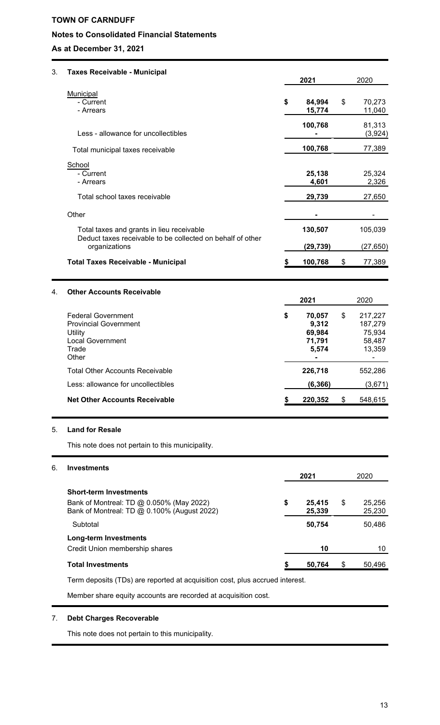#### **Notes to Consolidated Financial Statements**

# **As at December 31, 2021**

| 3. | <b>Taxes Receivable - Municipal</b>                                                                                                                                                                                                                                           | 2021                                                                                         |          | 2020                                                                                      |
|----|-------------------------------------------------------------------------------------------------------------------------------------------------------------------------------------------------------------------------------------------------------------------------------|----------------------------------------------------------------------------------------------|----------|-------------------------------------------------------------------------------------------|
|    | Municipal<br>- Current<br>- Arrears                                                                                                                                                                                                                                           | \$<br>84,994<br>15,774                                                                       | \$       | 70,273<br>11,040                                                                          |
|    | Less - allowance for uncollectibles                                                                                                                                                                                                                                           | 100,768                                                                                      |          | 81,313<br>(3,924)                                                                         |
|    | Total municipal taxes receivable                                                                                                                                                                                                                                              | 100,768                                                                                      |          | 77,389                                                                                    |
|    | School<br>- Current<br>- Arrears                                                                                                                                                                                                                                              | 25,138<br>4,601                                                                              |          | 25,324<br>2,326                                                                           |
|    | Total school taxes receivable                                                                                                                                                                                                                                                 | 29,739                                                                                       |          | 27,650                                                                                    |
|    | Other                                                                                                                                                                                                                                                                         |                                                                                              |          |                                                                                           |
|    | Total taxes and grants in lieu receivable<br>Deduct taxes receivable to be collected on behalf of other<br>organizations                                                                                                                                                      | 130,507<br>(29, 739)                                                                         |          | 105,039<br>(27, 650)                                                                      |
|    | <b>Total Taxes Receivable - Municipal</b>                                                                                                                                                                                                                                     | \$<br>100,768                                                                                | \$       | 77,389                                                                                    |
| 4. | <b>Other Accounts Receivable</b><br><b>Federal Government</b><br><b>Provincial Government</b><br>Utility<br><b>Local Government</b><br>Trade<br>Other<br><b>Total Other Accounts Receivable</b><br>Less: allowance for uncollectibles<br><b>Net Other Accounts Receivable</b> | \$<br>2021<br>70,057<br>9,312<br>69,984<br>71,791<br>5,574<br>226,718<br>(6, 366)<br>220,352 | \$<br>\$ | 2020<br>217,227<br>187,279<br>75,934<br>58,487<br>13,359<br>552,286<br>(3,671)<br>548,615 |
| 5. | <b>Land for Resale</b>                                                                                                                                                                                                                                                        |                                                                                              |          |                                                                                           |
|    | This note does not pertain to this municipality.                                                                                                                                                                                                                              |                                                                                              |          |                                                                                           |
| 6. | <b>Investments</b>                                                                                                                                                                                                                                                            | 2021                                                                                         |          | 2020                                                                                      |
|    | <b>Short-term Investments</b><br>Bank of Montreal: TD @ 0.050% (May 2022)<br>Bank of Montreal: TD @ 0.100% (August 2022)<br>Subtotal                                                                                                                                          | \$<br>25,415<br>25,339<br>50,754                                                             | \$       | 25,256<br>25,230<br>50,486                                                                |
|    | <b>Long-term Investments</b><br>Credit Union membership shares                                                                                                                                                                                                                | 10                                                                                           |          | 10                                                                                        |
|    | <b>Total Investments</b>                                                                                                                                                                                                                                                      | \$<br>50,764                                                                                 | \$       | 50,496                                                                                    |

Term deposits (TDs) are reported at acquisition cost, plus accrued interest.

Member share equity accounts are recorded at acquisition cost.

### 7. **Debt Charges Recoverable**

This note does not pertain to this municipality.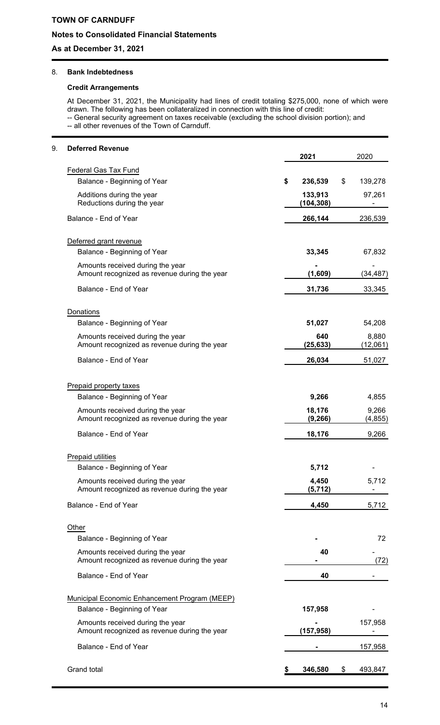#### **Notes to Consolidated Financial Statements**

### **As at December 31, 2021**

#### 8. **Bank Indebtedness**

#### **Credit Arrangements**

At December 31, 2021, the Municipality had lines of credit totaling \$275,000, none of which were drawn. The following has been collateralized in connection with this line of credit: -- General security agreement on taxes receivable (excluding the school division portion); and -- all other revenues of the Town of Carnduff.

| <b>Deferred Revenue</b>                                                          |                       |                   |
|----------------------------------------------------------------------------------|-----------------------|-------------------|
|                                                                                  | 2021                  | 2020              |
| Federal Gas Tax Fund                                                             |                       |                   |
| Balance - Beginning of Year                                                      | \$<br>236,539         | \$<br>139,278     |
| Additions during the year<br>Reductions during the year                          | 133,913<br>(104, 308) | 97,261            |
| Balance - End of Year                                                            | 266,144               | 236,539           |
| Deferred grant revenue                                                           |                       |                   |
| Balance - Beginning of Year                                                      | 33,345                | 67,832            |
| Amounts received during the year<br>Amount recognized as revenue during the year | (1,609)               | (34,487)          |
| Balance - End of Year                                                            | 31,736                | 33,345            |
| Donations                                                                        |                       |                   |
| Balance - Beginning of Year                                                      | 51,027                | 54,208            |
| Amounts received during the year<br>Amount recognized as revenue during the year | 640<br>(25, 633)      | 8,880<br>(12,061) |
| Balance - End of Year                                                            | 26,034                | 51,027            |
| Prepaid property taxes                                                           |                       |                   |
| Balance - Beginning of Year                                                      | 9,266                 | 4,855             |
| Amounts received during the year<br>Amount recognized as revenue during the year | 18,176<br>(9,266)     | 9,266<br>(4,855)  |
| Balance - End of Year                                                            | 18,176                | 9,266             |
| <b>Prepaid utilities</b>                                                         |                       |                   |
| Balance - Beginning of Year                                                      | 5,712                 |                   |
| Amounts received during the year<br>Amount recognized as revenue during the year | 4,450<br>(5, 712)     | 5,712             |
| Balance - End of Year                                                            | 4,450                 | 5,712             |
| Other                                                                            |                       |                   |
| Balance - Beginning of Year                                                      |                       | 72                |
| Amounts received during the year<br>Amount recognized as revenue during the year | 40                    | (72)              |
| Balance - End of Year                                                            | 40                    |                   |
| <b>Municipal Economic Enhancement Program (MEEP)</b>                             |                       |                   |
| Balance - Beginning of Year                                                      | 157,958               |                   |
| Amounts received during the year<br>Amount recognized as revenue during the year | (157, 958)            | 157,958           |
| Balance - End of Year                                                            |                       | 157,958           |
| <b>Grand total</b>                                                               | 346,580               | 493,847<br>\$     |
|                                                                                  |                       |                   |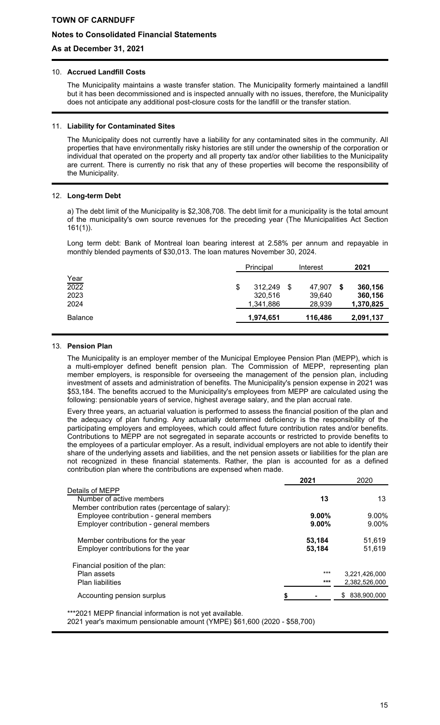#### **Notes to Consolidated Financial Statements**

#### **As at December 31, 2021**

#### 10. **Accrued Landfill Costs**

The Municipality maintains a waste transfer station. The Municipality formerly maintained a landfill but it has been decommissioned and is inspected annually with no issues, therefore, the Municipality does not anticipate any additional post-closure costs for the landfill or the transfer station.

#### 11. **Liability for Contaminated Sites**

The Municipality does not currently have a liability for any contaminated sites in the community. All properties that have environmentally risky histories are still under the ownership of the corporation or individual that operated on the property and all property tax and/or other liabilities to the Municipality are current. There is currently no risk that any of these properties will become the responsibility of the Municipality.

#### 12. **Long-term Debt**

a) The debt limit of the Municipality is \$2,308,708. The debt limit for a municipality is the total amount of the municipality's own source revenues for the preceding year (The Municipalities Act Section 161(1)).

Long term debt: Bank of Montreal loan bearing interest at 2.58% per annum and repayable in monthly blended payments of \$30,013. The loan matures November 30, 2024.

|                                     | Principal<br>Interest                 |    | 2021                       |   |                                 |
|-------------------------------------|---------------------------------------|----|----------------------------|---|---------------------------------|
| $\frac{Year}{2022}$<br>2023<br>2024 | \$<br>312,249<br>320,516<br>1,341,886 | \$ | 47,907<br>39,640<br>28,939 | S | 360,156<br>360,156<br>1,370,825 |
| <b>Balance</b>                      | 1,974,651                             |    | 116,486                    |   | 2,091,137                       |

#### 13. **Pension Plan**

The Municipality is an employer member of the Municipal Employee Pension Plan (MEPP), which is a multi-employer defined benefit pension plan. The Commission of MEPP, representing plan member employers, is responsible for overseeing the management of the pension plan, including investment of assets and administration of benefits. The Municipality's pension expense in 2021 was \$53,184. The benefits accrued to the Municipality's employees from MEPP are calculated using the following: pensionable years of service, highest average salary, and the plan accrual rate.

Every three years, an actuarial valuation is performed to assess the financial position of the plan and the adequacy of plan funding. Any actuarially determined deficiency is the responsibility of the participating employers and employees, which could affect future contribution rates and/or benefits. Contributions to MEPP are not segregated in separate accounts or restricted to provide benefits to the employees of a particular employer. As a result, individual employers are not able to identify their share of the underlying assets and liabilities, and the net pension assets or liabilities for the plan are not recognized in these financial statements. Rather, the plan is accounted for as a defined contribution plan where the contributions are expensed when made.

|                                                   | 2021     | 2020              |
|---------------------------------------------------|----------|-------------------|
| Details of MEPP                                   |          |                   |
| Number of active members                          | 13       | 13                |
| Member contribution rates (percentage of salary): |          |                   |
| Employee contribution - general members           | $9.00\%$ | 9.00%             |
| Employer contribution - general members           | $9.00\%$ | 9.00%             |
| Member contributions for the year                 | 53,184   | 51.619            |
| Employer contributions for the year               | 53,184   | 51,619            |
| Financial position of the plan:                   |          |                   |
| Plan assets                                       | $***$    | 3.221.426.000     |
| <b>Plan liabilities</b>                           | ***      | 2.382.526.000     |
| Accounting pension surplus                        |          | 838,900,000<br>S. |
|                                                   |          |                   |

\*\*\*2021 MEPP financial information is not yet available.

2021 year's maximum pensionable amount (YMPE) \$61,600 (2020 - \$58,700)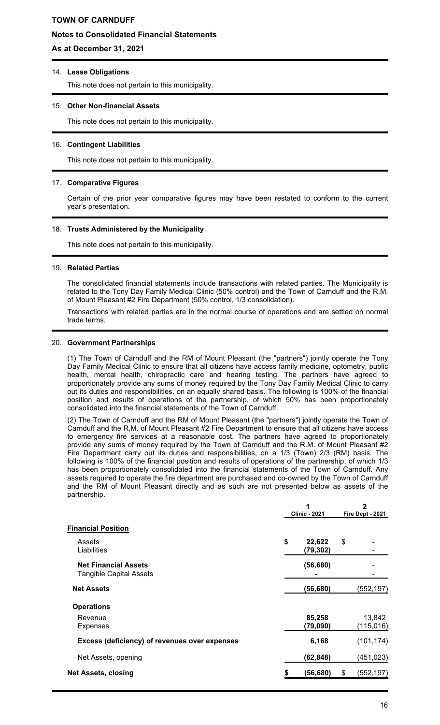#### **Notes to Consolidated Financial Statements**

### **As at December 31, 2021**

#### 14. **Lease Obligations**

This note does not pertain to this municipality.

#### 15. **Other Non-financial Assets**

This note does not pertain to this municipality.

#### 16. **Contingent Liabilities**

This note does not pertain to this municipality.

#### 17. **Comparative Figures**

Certain of the prior year comparative figures may have been restated to conform to the current year's presentation.

#### 18. **Trusts Administered by the Municipality**

This note does not pertain to this municipality.

#### 19. **Related Parties**

The consolidated financial statements include transactions with related parties. The Municipality is related to the Tony Day Family Medical Clinic (50% control) and the Town of Carnduff and the R.M. of Mount Pleasant #2 Fire Department (50% control, 1/3 consolidation).

Transactions with related parties are in the normal course of operations and are settled on normal trade terms.

#### 20. **Government Partnerships**

(1) The Town of Carnduff and the RM of Mount Pleasant (the "partners") jointly operate the Tony Day Family Medical Clinic to ensure that all citizens have access family medicine, optometry, public health, mental health, chiropractic care and hearing testing. The partners have agreed to proportionately provide any sums of money required by the Tony Day Family Medical Clinic to carry out its duties and responsibilities, on an equally shared basis. The following is 100% of the financial position and results of operations of the partnership, of which 50% has been proportionately consolidated into the financial statements of the Town of Carnduff.

(2) The Town of Carnduff and the RM of Mount Pleasant (the "partners") jointly operate the Town of Carnduff and the R.M. of Mount Pleasant #2 Fire Department to ensure that all citizens have access to emergency fire services at a reasonable cost. The partners have agreed to proportionately provide any sums of money required by the Town of Carnduff and the R.M. of Mount Pleasant #2 Fire Department carry out its duties and responsibilities, on a 1/3 (Town) 2/3 (RM) basis. The following is 100% of the financial position and results of operations of the partnership, of which 1/3 has been proportionately consolidated into the financial statements of the Town of Carnduff. Any assets required to operate the fire department are purchased and co-owned by the Town of Carnduff and the RM of Mount Pleasant directly and as such are not presented below as assets of the partnership.

|                                                               | 4<br><b>Clinic - 2021</b> | $\mathbf{2}$<br>Fire Dept - 2021 |
|---------------------------------------------------------------|---------------------------|----------------------------------|
| <b>Financial Position</b>                                     |                           |                                  |
| Assets<br>Liabilities                                         | \$<br>22,622<br>(79,302)  | \$                               |
| <b>Net Financial Assets</b><br><b>Tangible Capital Assets</b> | (56, 680)                 |                                  |
| <b>Net Assets</b>                                             | (56, 680)                 | (552, 197)                       |
| <b>Operations</b>                                             |                           |                                  |
| Revenue<br><b>Expenses</b>                                    | 85,258<br>(79,090)        | 13,842<br>(115, 016)             |
| Excess (deficiency) of revenues over expenses                 | 6,168                     | (101, 174)                       |
| Net Assets, opening                                           | (62, 848)                 | (451, 023)                       |
| <b>Net Assets, closing</b>                                    | (56, 680)                 | \$<br>(552, 197)                 |
|                                                               |                           |                                  |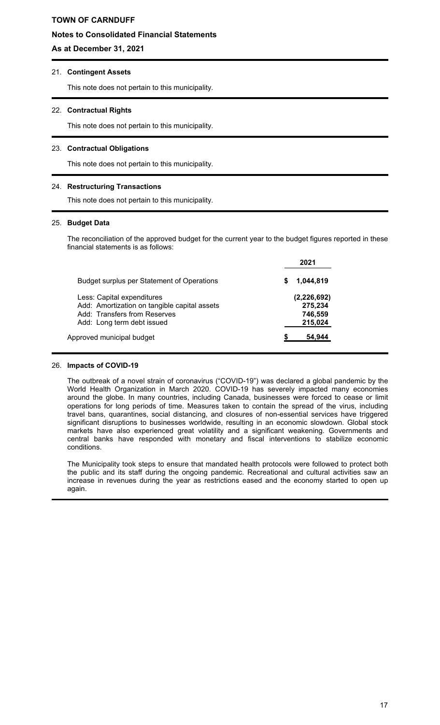#### **Notes to Consolidated Financial Statements**

### **As at December 31, 2021**

#### 21. **Contingent Assets**

This note does not pertain to this municipality.

#### 22. **Contractual Rights**

This note does not pertain to this municipality.

#### 23. **Contractual Obligations**

This note does not pertain to this municipality.

#### 24. **Restructuring Transactions**

This note does not pertain to this municipality.

#### 25. **Budget Data**

The reconciliation of the approved budget for the current year to the budget figures reported in these financial statements is as follows:

|                                                   | 2021          |
|---------------------------------------------------|---------------|
| <b>Budget surplus per Statement of Operations</b> | 1,044,819     |
| Less: Capital expenditures                        | (2, 226, 692) |
| Add: Amortization on tangible capital assets      | 275,234       |
| Add: Transfers from Reserves                      | 746,559       |
| Add: Long term debt issued                        | 215,024       |
| Approved municipal budget                         | 54.944        |

#### 26. **Impacts of COVID-19**

The outbreak of a novel strain of coronavirus ("COVID-19") was declared a global pandemic by the World Health Organization in March 2020. COVID-19 has severely impacted many economies around the globe. In many countries, including Canada, businesses were forced to cease or limit operations for long periods of time. Measures taken to contain the spread of the virus, including travel bans, quarantines, social distancing, and closures of non-essential services have triggered significant disruptions to businesses worldwide, resulting in an economic slowdown. Global stock markets have also experienced great volatility and a significant weakening. Governments and central banks have responded with monetary and fiscal interventions to stabilize economic conditions.

The Municipality took steps to ensure that mandated health protocols were followed to protect both the public and its staff during the ongoing pandemic. Recreational and cultural activities saw an increase in revenues during the year as restrictions eased and the economy started to open up again.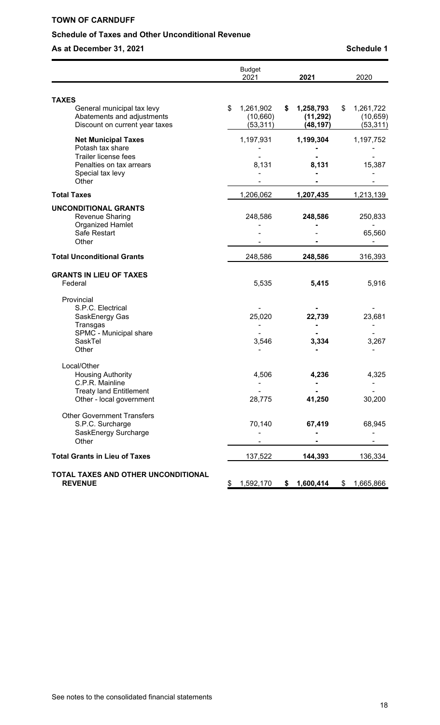# **Schedule of Taxes and Other Unconditional Revenue**

**As at December 31, 2021 As at December 31, 2021** 

|                                                                                                                                 | <b>Budget</b><br>2021                    | 2021                                     | 2020                                      |
|---------------------------------------------------------------------------------------------------------------------------------|------------------------------------------|------------------------------------------|-------------------------------------------|
| <b>TAXES</b><br>General municipal tax levy<br>Abatements and adjustments<br>Discount on current year taxes                      | \$<br>1,261,902<br>(10,660)<br>(53, 311) | \$<br>1,258,793<br>(11, 292)<br>(48,197) | \$<br>1,261,722<br>(10, 659)<br>(53, 311) |
| <b>Net Municipal Taxes</b><br>Potash tax share<br>Trailer license fees<br>Penalties on tax arrears<br>Special tax levy<br>Other | 1,197,931<br>8,131                       | 1,199,304<br>8,131                       | 1,197,752<br>15,387                       |
| <b>Total Taxes</b>                                                                                                              | 1,206,062                                | 1,207,435                                | 1,213,139                                 |
| <b>UNCONDITIONAL GRANTS</b><br>Revenue Sharing<br><b>Organized Hamlet</b><br>Safe Restart<br>Other                              | 248,586                                  | 248,586                                  | 250,833<br>65,560                         |
| <b>Total Unconditional Grants</b>                                                                                               | 248,586                                  | 248,586                                  | 316,393                                   |
| <b>GRANTS IN LIEU OF TAXES</b><br>Federal                                                                                       | 5,535                                    | 5,415                                    | 5,916                                     |
| Provincial<br>S.P.C. Electrical<br>SaskEnergy Gas<br>Transgas<br>SPMC - Municipal share<br>SaskTel<br>Other                     | 25,020<br>3,546                          | 22,739<br>3,334                          | 23,681<br>3,267                           |
| Local/Other<br><b>Housing Authority</b><br>C.P.R. Mainline<br><b>Treaty land Entitlement</b><br>Other - local government        | 4,506<br>28,775                          | 4,236<br>41,250                          | 4,325<br>30,200                           |
| <b>Other Government Transfers</b><br>S.P.C. Surcharge<br>SaskEnergy Surcharge<br>Other                                          | 70,140                                   | 67,419                                   | 68,945                                    |
| <b>Total Grants in Lieu of Taxes</b>                                                                                            | 137,522                                  | 144,393                                  | 136,334                                   |
| TOTAL TAXES AND OTHER UNCONDITIONAL<br><b>REVENUE</b>                                                                           | \$<br>1,592,170                          | \$<br>1,600,414                          | \$<br>1,665,866                           |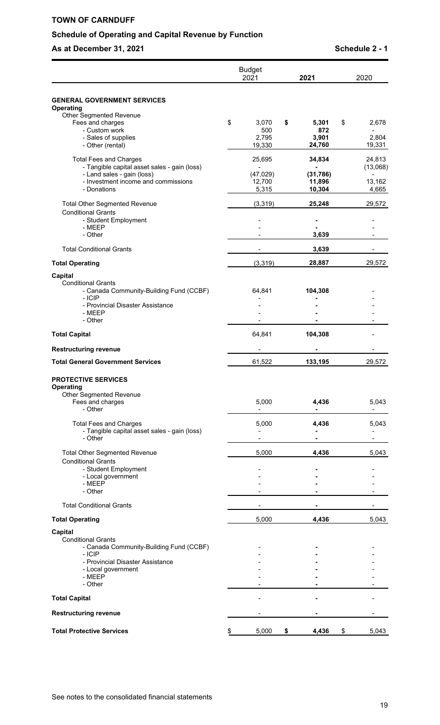# **Schedule of Operating and Capital Revenue by Function**

**As at December 31, 2021 As at December 31, 2021** 

|                                                                            | <b>Budget</b><br>2021       | 2021               |    | 2020                              |
|----------------------------------------------------------------------------|-----------------------------|--------------------|----|-----------------------------------|
|                                                                            |                             |                    |    |                                   |
| <b>GENERAL GOVERNMENT SERVICES</b>                                         |                             |                    |    |                                   |
| <b>Operating</b><br>Other Segmented Revenue                                |                             |                    |    |                                   |
| Fees and charges<br>- Custom work                                          | \$<br>3,070<br>500          | \$<br>5,301<br>872 | \$ | 2,678                             |
| - Sales of supplies                                                        | 2,795                       | 3,901              |    | $\overline{\phantom{a}}$<br>2,804 |
| - Other (rental)                                                           | 19,330                      | 24,760             |    | 19,331                            |
| <b>Total Fees and Charges</b>                                              | 25,695                      | 34,834             |    | 24,813                            |
| - Tangible capital asset sales - gain (loss)<br>- Land sales - gain (loss) | $\blacksquare$<br>(47, 029) | (31, 786)          |    | (13,068)                          |
| - Investment income and commissions                                        | 12,700                      | 11,896             |    | 13,162                            |
| - Donations                                                                | 5,315                       | 10,304             |    | 4,665                             |
| <b>Total Other Segmented Revenue</b>                                       | (3,319)                     | 25,248             |    | 29,572                            |
| <b>Conditional Grants</b><br>- Student Employment                          |                             |                    |    |                                   |
| - MEEP<br>- Other                                                          |                             |                    |    |                                   |
|                                                                            |                             | 3,639              |    |                                   |
| <b>Total Conditional Grants</b>                                            |                             | 3,639              |    |                                   |
| <b>Total Operating</b>                                                     | (3,319)                     | 28,887             |    | 29,572                            |
| <b>Capital</b>                                                             |                             |                    |    |                                   |
| <b>Conditional Grants</b><br>- Canada Community-Building Fund (CCBF)       | 64,841                      | 104,308            |    |                                   |
| - ICIP                                                                     |                             |                    |    |                                   |
| - Provincial Disaster Assistance<br>- MEEP                                 |                             |                    |    |                                   |
| - Other                                                                    |                             |                    |    |                                   |
| <b>Total Capital</b>                                                       | 64,841                      | 104,308            |    |                                   |
| <b>Restructuring revenue</b>                                               |                             |                    |    |                                   |
| <b>Total General Government Services</b>                                   | 61,522                      | 133,195            |    | 29,572                            |
| <b>PROTECTIVE SERVICES</b>                                                 |                             |                    |    |                                   |
| Operating                                                                  |                             |                    |    |                                   |
| Other Segmented Revenue<br>Fees and charges                                | 5,000                       | 4,436              |    | 5,043                             |
| - Other                                                                    |                             |                    |    |                                   |
| <b>Total Fees and Charges</b>                                              | 5,000                       | 4,436              |    | 5,043                             |
| - Tangible capital asset sales - gain (loss)<br>- Other                    |                             |                    |    |                                   |
|                                                                            |                             |                    |    |                                   |
| <b>Total Other Segmented Revenue</b><br><b>Conditional Grants</b>          | 5,000                       | 4,436              |    | 5,043                             |
| - Student Employment                                                       |                             |                    |    |                                   |
| - Local government<br>- MEEP                                               |                             |                    |    |                                   |
| - Other                                                                    |                             |                    |    |                                   |
| <b>Total Conditional Grants</b>                                            |                             |                    |    |                                   |
| <b>Total Operating</b>                                                     | 5,000                       | 4,436              |    | 5,043                             |
| Capital                                                                    |                             |                    |    |                                   |
| <b>Conditional Grants</b>                                                  |                             |                    |    |                                   |
| - Canada Community-Building Fund (CCBF)<br>$-ICIP$                         |                             |                    |    |                                   |
| - Provincial Disaster Assistance                                           |                             |                    |    |                                   |
| - Local government<br>- MEEP                                               |                             |                    |    |                                   |
| - Other                                                                    |                             |                    |    |                                   |
| <b>Total Capital</b>                                                       |                             |                    |    |                                   |
| <b>Restructuring revenue</b>                                               |                             |                    |    |                                   |
| <b>Total Protective Services</b>                                           | \$<br>5,000                 | \$<br>4,436        | \$ | 5,043                             |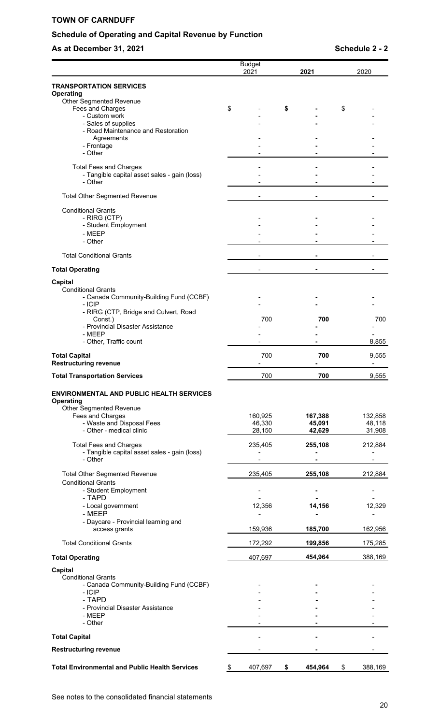# **Schedule of Operating and Capital Revenue by Function**

**As at December 31, 2021 Schedule 2 - 2**

|                                                                               | <b>Budget</b><br>2021 | 2021          | 2020          |
|-------------------------------------------------------------------------------|-----------------------|---------------|---------------|
| <b>TRANSPORTATION SERVICES</b>                                                |                       |               |               |
| <b>Operating</b>                                                              |                       |               |               |
| <b>Other Segmented Revenue</b><br>Fees and Charges                            | \$                    | \$            | \$            |
| - Custom work                                                                 |                       |               |               |
| - Sales of supplies                                                           |                       |               |               |
| - Road Maintenance and Restoration<br>Agreements                              |                       |               |               |
| - Frontage                                                                    |                       |               |               |
| - Other                                                                       |                       |               |               |
|                                                                               |                       |               |               |
| <b>Total Fees and Charges</b><br>- Tangible capital asset sales - gain (loss) |                       |               |               |
| - Other                                                                       |                       |               |               |
| <b>Total Other Segmented Revenue</b>                                          |                       |               |               |
| <b>Conditional Grants</b>                                                     |                       |               |               |
| - RIRG (CTP)                                                                  |                       |               |               |
| - Student Employment                                                          |                       |               |               |
| - MEEP                                                                        |                       |               |               |
| - Other                                                                       |                       |               |               |
| <b>Total Conditional Grants</b>                                               |                       |               |               |
|                                                                               |                       |               |               |
| <b>Total Operating</b>                                                        |                       |               |               |
| <b>Capital</b>                                                                |                       |               |               |
| <b>Conditional Grants</b><br>- Canada Community-Building Fund (CCBF)          |                       |               |               |
| - ICIP                                                                        |                       |               |               |
| - RIRG (CTP, Bridge and Culvert, Road                                         |                       |               |               |
| Const.)<br>- Provincial Disaster Assistance                                   | 700                   | 700           | 700           |
| - MEEP                                                                        |                       |               |               |
| - Other, Traffic count                                                        |                       |               | 8,855         |
|                                                                               | 700                   | 700           |               |
| <b>Total Capital</b><br><b>Restructuring revenue</b>                          |                       |               | 9,555         |
| <b>Total Transportation Services</b>                                          | 700                   | 700           | 9,555         |
|                                                                               |                       |               |               |
| <b>ENVIRONMENTAL AND PUBLIC HEALTH SERVICES</b>                               |                       |               |               |
| Operating<br>Other Segmented Revenue                                          |                       |               |               |
| Fees and Charges                                                              | 160,925               | 167,388       | 132,858       |
| - Waste and Disposal Fees                                                     | 46,330                | 45,091        | 48,118        |
| - Other - medical clinic                                                      | 28,150                | 42,629        | 31,908        |
| <b>Total Fees and Charges</b>                                                 | 235,405               | 255,108       | 212,884       |
| - Tangible capital asset sales - gain (loss)                                  |                       |               |               |
| - Other                                                                       |                       |               |               |
| <b>Total Other Segmented Revenue</b>                                          | 235,405               | 255,108       | 212,884       |
| <b>Conditional Grants</b>                                                     |                       |               |               |
| - Student Employment                                                          |                       |               |               |
| - TAPD                                                                        |                       |               |               |
| - Local government<br>- MEEP                                                  | 12,356                | 14,156        | 12,329        |
| - Daycare - Provincial learning and                                           |                       |               |               |
| access grants                                                                 | 159,936               | 185,700       | 162,956       |
| <b>Total Conditional Grants</b>                                               | 172,292               | 199,856       | 175,285       |
|                                                                               |                       |               |               |
| <b>Total Operating</b>                                                        | 407,697               | 454,964       | 388,169       |
| <b>Capital</b>                                                                |                       |               |               |
| <b>Conditional Grants</b>                                                     |                       |               |               |
| - Canada Community-Building Fund (CCBF)                                       |                       |               |               |
| - ICIP<br>- TAPD                                                              |                       |               |               |
| - Provincial Disaster Assistance                                              |                       |               |               |
| - MEEP                                                                        |                       |               |               |
| - Other                                                                       |                       |               |               |
| <b>Total Capital</b>                                                          |                       |               |               |
|                                                                               |                       |               |               |
| <b>Restructuring revenue</b>                                                  |                       |               |               |
| <b>Total Environmental and Public Health Services</b>                         | \$<br>407,697         | \$<br>454,964 | \$<br>388,169 |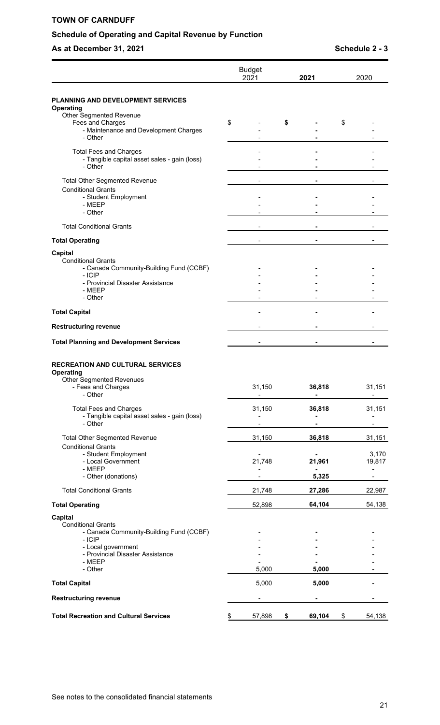# **Schedule of Operating and Capital Revenue by Function**

**As at December 31, 2021 As at December 31, 2021** 

|                                                           | <b>Budget</b><br>2021 | 2021         | 2020         |
|-----------------------------------------------------------|-----------------------|--------------|--------------|
| PLANNING AND DEVELOPMENT SERVICES<br>Operating            |                       |              |              |
| <b>Other Segmented Revenue</b>                            |                       |              |              |
| Fees and Charges<br>- Maintenance and Development Charges | \$                    | \$           | \$           |
| - Other                                                   |                       |              |              |
| <b>Total Fees and Charges</b>                             |                       |              |              |
| - Tangible capital asset sales - gain (loss)              |                       |              |              |
| - Other                                                   |                       |              |              |
| <b>Total Other Segmented Revenue</b>                      |                       |              |              |
| <b>Conditional Grants</b>                                 |                       |              |              |
| - Student Employment<br>- MEEP                            |                       |              |              |
| - Other                                                   |                       |              |              |
|                                                           |                       |              |              |
| <b>Total Conditional Grants</b>                           |                       |              |              |
| <b>Total Operating</b>                                    |                       |              |              |
| <b>Capital</b>                                            |                       |              |              |
| <b>Conditional Grants</b>                                 |                       |              |              |
| - Canada Community-Building Fund (CCBF)<br>- ICIP         |                       |              |              |
| - Provincial Disaster Assistance                          |                       |              |              |
| - MEEP<br>- Other                                         |                       |              |              |
|                                                           |                       |              |              |
| <b>Total Capital</b>                                      |                       |              |              |
| <b>Restructuring revenue</b>                              |                       |              |              |
| <b>Total Planning and Development Services</b>            |                       | ٠            |              |
| <b>RECREATION AND CULTURAL SERVICES</b><br>Operating      |                       |              |              |
| <b>Other Segmented Revenues</b>                           |                       |              |              |
| - Fees and Charges                                        | 31,150                | 36,818       | 31,151       |
| - Other                                                   |                       |              |              |
| <b>Total Fees and Charges</b>                             | 31,150                | 36,818       | 31,151       |
| - Tangible capital asset sales - gain (loss)<br>- Other   |                       | ۰            | -            |
|                                                           |                       |              |              |
| <b>Total Other Segmented Revenue</b>                      | 31,150                | 36,818       | 31,151       |
| <b>Conditional Grants</b><br>- Student Employment         |                       |              | 3,170        |
| - Local Government                                        | 21,748                | 21,961       | 19,817       |
| - MEEP<br>- Other (donations)                             |                       | 5,325        | -            |
|                                                           |                       |              |              |
| <b>Total Conditional Grants</b>                           | 21,748                | 27,286       | 22,987       |
| <b>Total Operating</b>                                    | 52,898                | 64,104       | 54,138       |
| <b>Capital</b><br><b>Conditional Grants</b>               |                       |              |              |
| - Canada Community-Building Fund (CCBF)                   |                       |              |              |
| $-ICIP$                                                   |                       |              |              |
| - Local government<br>- Provincial Disaster Assistance    |                       |              |              |
| - MEEP                                                    |                       |              |              |
| - Other                                                   | 5,000                 | 5,000        |              |
| <b>Total Capital</b>                                      | 5,000                 | 5,000        |              |
| <b>Restructuring revenue</b>                              |                       |              |              |
| <b>Total Recreation and Cultural Services</b>             | \$<br>57,898          | \$<br>69,104 | \$<br>54,138 |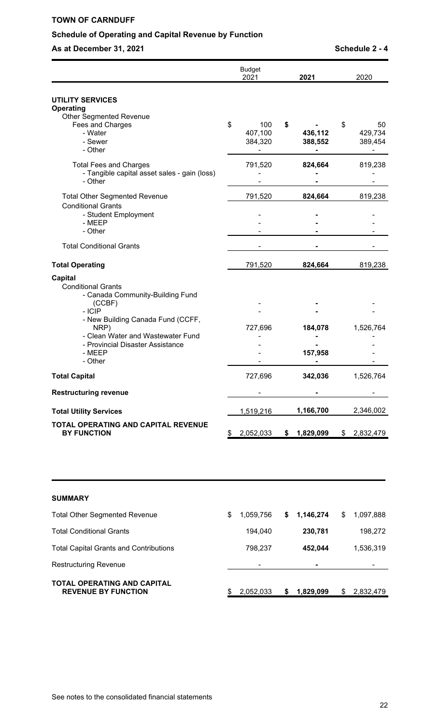# **Schedule of Operating and Capital Revenue by Function**

**As at December 31, 2021 As at December 31, 2021** 

|                                                                                                                                                                                                                                                | <b>Budget</b><br>2021           | 2021                     | 2020                           |
|------------------------------------------------------------------------------------------------------------------------------------------------------------------------------------------------------------------------------------------------|---------------------------------|--------------------------|--------------------------------|
| <b>UTILITY SERVICES</b><br>Operating<br><b>Other Segmented Revenue</b>                                                                                                                                                                         |                                 |                          |                                |
| Fees and Charges<br>- Water<br>- Sewer<br>- Other                                                                                                                                                                                              | \$<br>100<br>407,100<br>384,320 | \$<br>436,112<br>388,552 | \$<br>50<br>429,734<br>389,454 |
| <b>Total Fees and Charges</b><br>- Tangible capital asset sales - gain (loss)<br>- Other                                                                                                                                                       | 791,520                         | 824,664                  | 819,238                        |
| <b>Total Other Segmented Revenue</b>                                                                                                                                                                                                           | 791,520                         | 824,664                  | 819,238                        |
| <b>Conditional Grants</b><br>- Student Employment<br>- MEEP<br>- Other                                                                                                                                                                         |                                 |                          |                                |
| <b>Total Conditional Grants</b>                                                                                                                                                                                                                |                                 |                          |                                |
| <b>Total Operating</b>                                                                                                                                                                                                                         | 791,520                         | 824,664                  | 819,238                        |
| <b>Capital</b><br><b>Conditional Grants</b><br>- Canada Community-Building Fund<br>(CCBF)<br>- ICIP<br>- New Building Canada Fund (CCFF,<br>NRP)<br>- Clean Water and Wastewater Fund<br>- Provincial Disaster Assistance<br>- MEEP<br>- Other | 727,696                         | 184,078<br>157,958       | 1,526,764                      |
| <b>Total Capital</b>                                                                                                                                                                                                                           | 727,696                         | 342,036                  | 1,526,764                      |
| <b>Restructuring revenue</b>                                                                                                                                                                                                                   |                                 |                          |                                |
| <b>Total Utility Services</b>                                                                                                                                                                                                                  | 1,519,216                       | 1,166,700                | 2,346,002                      |
| TOTAL OPERATING AND CAPITAL REVENUE<br><b>BY FUNCTION</b>                                                                                                                                                                                      | \$<br>2,052,033                 | \$<br>1,829,099          | \$2,832,479                    |
|                                                                                                                                                                                                                                                |                                 |                          |                                |

| <b>SUMMARY</b>                                                   |                 |    |           |    |           |
|------------------------------------------------------------------|-----------------|----|-----------|----|-----------|
| <b>Total Other Segmented Revenue</b>                             | \$<br>1,059,756 | \$ | 1,146,274 | \$ | 1,097,888 |
| <b>Total Conditional Grants</b>                                  | 194,040         |    | 230,781   |    | 198,272   |
| <b>Total Capital Grants and Contributions</b>                    | 798,237         |    | 452,044   |    | 1,536,319 |
| <b>Restructuring Revenue</b>                                     | ۰               |    |           |    |           |
| <b>TOTAL OPERATING AND CAPITAL</b><br><b>REVENUE BY FUNCTION</b> | 2,052,033       | S  | 1,829,099 | S  | 2,832,479 |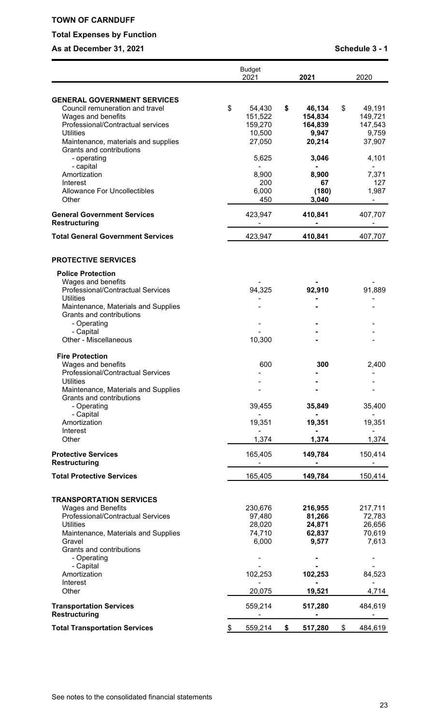# **Total Expenses by Function**

**As at December 31, 2021 As at December 31, 2021 Schedule 3 - 1** 

|                                                                                                                                                                                                                         | <b>Budget</b><br>2021                                  | 2021                                                  | 2020                                                  |
|-------------------------------------------------------------------------------------------------------------------------------------------------------------------------------------------------------------------------|--------------------------------------------------------|-------------------------------------------------------|-------------------------------------------------------|
|                                                                                                                                                                                                                         |                                                        |                                                       |                                                       |
| <b>GENERAL GOVERNMENT SERVICES</b><br>Council remuneration and travel<br>Wages and benefits<br>Professional/Contractual services<br><b>Utilities</b><br>Maintenance, materials and supplies<br>Grants and contributions | \$<br>54,430<br>151,522<br>159,270<br>10,500<br>27,050 | \$<br>46,134<br>154,834<br>164,839<br>9,947<br>20,214 | \$<br>49,191<br>149,721<br>147,543<br>9,759<br>37,907 |
| - operating                                                                                                                                                                                                             | 5,625                                                  | 3,046                                                 | 4,101                                                 |
| - capital<br>Amortization<br>Interest<br><b>Allowance For Uncollectibles</b><br>Other                                                                                                                                   | $\blacksquare$<br>8,900<br>200<br>6,000<br>450         | 8,900<br>67<br>(180)<br>3,040                         | 7,371<br>127<br>1,987<br>$\overline{\phantom{0}}$     |
| <b>General Government Services</b><br><b>Restructuring</b>                                                                                                                                                              | 423,947                                                | 410,841                                               | 407,707                                               |
| <b>Total General Government Services</b>                                                                                                                                                                                | 423,947                                                | 410,841                                               | 407,707                                               |
| <b>PROTECTIVE SERVICES</b>                                                                                                                                                                                              |                                                        |                                                       |                                                       |
| <b>Police Protection</b><br>Wages and benefits<br>Professional/Contractual Services                                                                                                                                     | 94,325                                                 | 92,910                                                | 91,889                                                |
| <b>Utilities</b><br>Maintenance, Materials and Supplies<br>Grants and contributions                                                                                                                                     |                                                        |                                                       |                                                       |
| - Operating                                                                                                                                                                                                             |                                                        |                                                       |                                                       |
| - Capital<br>Other - Miscellaneous                                                                                                                                                                                      | 10,300                                                 |                                                       |                                                       |
| <b>Fire Protection</b><br>Wages and benefits<br>Professional/Contractual Services<br><b>Utilities</b>                                                                                                                   | 600                                                    | 300                                                   | 2,400                                                 |
| Maintenance, Materials and Supplies<br>Grants and contributions                                                                                                                                                         |                                                        |                                                       |                                                       |
| - Operating<br>- Capital                                                                                                                                                                                                | 39,455                                                 | 35,849                                                | 35,400                                                |
| Amortization<br>Interest                                                                                                                                                                                                | 19,351                                                 | 19,351                                                | 19,351                                                |
| Other                                                                                                                                                                                                                   | 1,374                                                  | 1,374                                                 | 1,374                                                 |
| <b>Protective Services</b><br><b>Restructuring</b>                                                                                                                                                                      | 165,405                                                | 149,784                                               | 150,414                                               |
| <b>Total Protective Services</b>                                                                                                                                                                                        | 165,405                                                | 149,784                                               | 150,414                                               |
| <b>TRANSPORTATION SERVICES</b><br><b>Wages and Benefits</b><br>Professional/Contractual Services                                                                                                                        | 230,676<br>97,480                                      | 216,955<br>81,266                                     | 217,711<br>72,783                                     |
| <b>Utilities</b><br>Maintenance, Materials and Supplies<br>Gravel                                                                                                                                                       | 28,020<br>74,710<br>6,000                              | 24,871<br>62,837<br>9,577                             | 26,656<br>70,619<br>7,613                             |
| Grants and contributions<br>- Operating<br>- Capital                                                                                                                                                                    |                                                        |                                                       |                                                       |
| Amortization<br>Interest                                                                                                                                                                                                | 102,253                                                | 102,253                                               | 84,523                                                |
| Other                                                                                                                                                                                                                   | 20,075                                                 | 19,521                                                | 4,714                                                 |
| <b>Transportation Services</b><br><b>Restructuring</b>                                                                                                                                                                  | 559,214                                                | 517,280                                               | 484,619                                               |
| <b>Total Transportation Services</b>                                                                                                                                                                                    | \$<br>559,214                                          | \$<br>517,280                                         | \$<br>484,619                                         |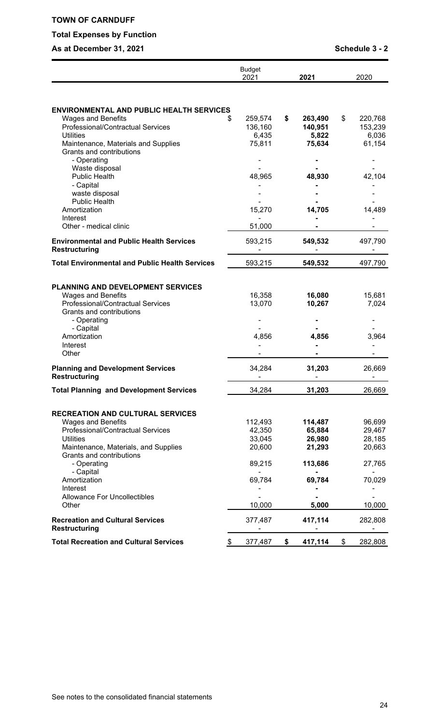# **Total Expenses by Function**

**As at December 31, 2021 As at December 31, 2021 Schedule 3 - 2** 

|                                                                                | <b>Budget</b><br>2021              | 2021                     | 2020                     |
|--------------------------------------------------------------------------------|------------------------------------|--------------------------|--------------------------|
|                                                                                |                                    |                          |                          |
| <b>ENVIRONMENTAL AND PUBLIC HEALTH SERVICES</b>                                |                                    |                          |                          |
| <b>Wages and Benefits</b><br>Professional/Contractual Services                 | 259,574<br>S<br>136,160            | \$<br>263,490<br>140,951 | \$<br>220,768<br>153,239 |
| <b>Utilities</b>                                                               | 6,435                              | 5,822                    | 6,036                    |
| Maintenance, Materials and Supplies<br>Grants and contributions<br>- Operating | 75,811                             | 75,634                   | 61,154                   |
| Waste disposal                                                                 |                                    |                          |                          |
| <b>Public Health</b>                                                           | 48,965                             | 48,930                   | 42,104                   |
| - Capital<br>waste disposal                                                    |                                    |                          |                          |
| <b>Public Health</b>                                                           |                                    |                          |                          |
| Amortization                                                                   | 15,270                             | 14,705                   | 14,489                   |
| Interest                                                                       |                                    |                          |                          |
| Other - medical clinic                                                         | 51,000                             |                          |                          |
| <b>Environmental and Public Health Services</b><br><b>Restructuring</b>        | 593,215                            | 549,532                  | 497,790                  |
| <b>Total Environmental and Public Health Services</b>                          | 593,215                            | 549,532                  | 497,790                  |
|                                                                                |                                    |                          |                          |
| PLANNING AND DEVELOPMENT SERVICES                                              |                                    |                          |                          |
| <b>Wages and Benefits</b><br>Professional/Contractual Services                 | 16,358<br>13,070                   | 16,080<br>10,267         | 15,681<br>7,024          |
| Grants and contributions                                                       |                                    |                          |                          |
| - Operating                                                                    |                                    |                          |                          |
| - Capital                                                                      |                                    |                          |                          |
| Amortization<br>Interest                                                       | 4,856                              | 4,856                    | 3,964                    |
| Other                                                                          |                                    |                          |                          |
| <b>Planning and Development Services</b>                                       | 34,284                             | 31,203                   | 26,669                   |
| <b>Restructuring</b>                                                           |                                    |                          |                          |
| <b>Total Planning and Development Services</b>                                 | 34,284                             | 31,203                   | 26,669                   |
|                                                                                |                                    |                          |                          |
| <b>RECREATION AND CULTURAL SERVICES</b>                                        |                                    |                          |                          |
| <b>Wages and Benefits</b><br>Professional/Contractual Services                 | 112,493<br>42,350                  | 114,487<br>65,884        | 96,699<br>29,467         |
| <b>Utilities</b>                                                               | 33,045                             | 26,980                   | 28,185                   |
| Maintenance, Materials, and Supplies                                           | 20,600                             | 21,293                   | 20,663                   |
| Grants and contributions                                                       |                                    |                          |                          |
| - Operating                                                                    | 89,215                             | 113,686                  | 27,765                   |
| - Capital<br>Amortization                                                      | $\overline{\phantom{a}}$<br>69,784 | 69,784                   | 70,029                   |
| Interest                                                                       |                                    |                          |                          |
| <b>Allowance For Uncollectibles</b>                                            |                                    |                          |                          |
| Other                                                                          | 10,000                             | 5,000                    | 10,000                   |
| <b>Recreation and Cultural Services</b><br><b>Restructuring</b>                | 377,487                            | 417,114                  | 282,808                  |
| <b>Total Recreation and Cultural Services</b>                                  | \$<br>377,487                      | \$<br>417,114            | \$<br>282,808            |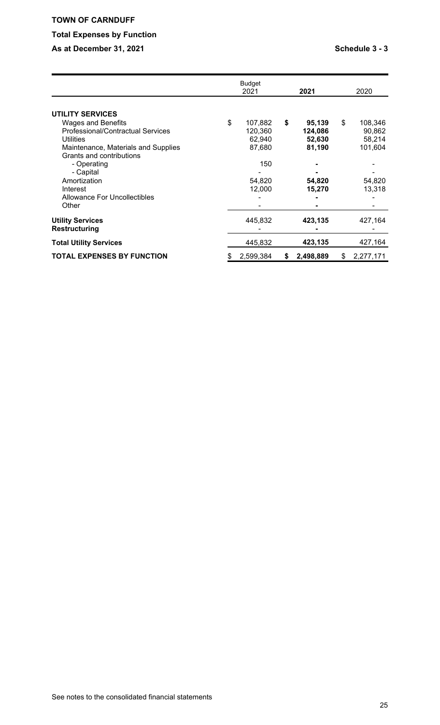# **Total Expenses by Function**

As at December 31, 2021 **As at December 31, 2021 Schedule 3 - 3** 

|                                                                                    | <b>Budget</b><br>2021              |    | 2021                        | 2020                              |
|------------------------------------------------------------------------------------|------------------------------------|----|-----------------------------|-----------------------------------|
| <b>UTILITY SERVICES</b>                                                            |                                    |    |                             |                                   |
| <b>Wages and Benefits</b><br><b>Professional/Contractual Services</b><br>Utilities | \$<br>107,882<br>120,360<br>62,940 | \$ | 95,139<br>124,086<br>52,630 | \$<br>108,346<br>90,862<br>58,214 |
| Maintenance, Materials and Supplies<br>Grants and contributions                    | 87,680                             |    | 81,190                      | 101,604                           |
| - Operating<br>- Capital<br>Amortization                                           | 150<br>54,820                      |    | 54,820                      | 54,820                            |
| Interest<br>Allowance For Uncollectibles<br>Other                                  | 12,000                             |    | 15,270                      | 13,318                            |
| <b>Utility Services</b><br><b>Restructuring</b>                                    | 445,832                            |    | 423,135                     | 427,164                           |
| <b>Total Utility Services</b>                                                      | 445,832                            |    | 423,135                     | 427,164                           |
| <b>TOTAL EXPENSES BY FUNCTION</b>                                                  | 2,599,384                          | S. | 2,498,889                   | \$<br>2,277,171                   |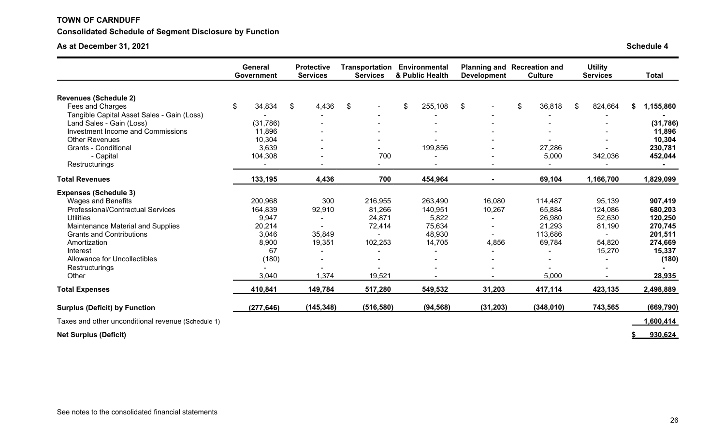# **Consolidated Schedule of Segment Disclosure by Function**

#### **As at December 31, 2021**

| <b>Schedule 4</b> |  |  |  |  |
|-------------------|--|--|--|--|
|-------------------|--|--|--|--|

|                                                    | General<br>Government |                | <b>Protective</b><br><b>Services</b> | <b>Transportation</b><br><b>Services</b> | Environmental<br>& Public Health | <b>Development</b> |                | <b>Planning and Recreation and</b><br><b>Culture</b> | <b>Utility</b><br><b>Services</b> | <b>Total</b>    |
|----------------------------------------------------|-----------------------|----------------|--------------------------------------|------------------------------------------|----------------------------------|--------------------|----------------|------------------------------------------------------|-----------------------------------|-----------------|
|                                                    |                       |                |                                      |                                          |                                  |                    |                |                                                      |                                   |                 |
| <b>Revenues (Schedule 2)</b>                       |                       |                |                                      |                                          |                                  |                    |                |                                                      |                                   |                 |
| Fees and Charges                                   | \$                    | 34,834         | \$<br>4,436                          | \$                                       | \$<br>255,108                    | \$                 |                | \$<br>36,818                                         | \$<br>824,664                     | \$<br>1,155,860 |
| Tangible Capital Asset Sales - Gain (Loss)         |                       |                |                                      |                                          |                                  |                    |                |                                                      |                                   |                 |
| Land Sales - Gain (Loss)                           |                       | (31, 786)      |                                      |                                          |                                  |                    |                |                                                      |                                   | (31, 786)       |
| Investment Income and Commissions                  |                       | 11,896         |                                      |                                          |                                  |                    |                |                                                      |                                   | 11,896          |
| <b>Other Revenues</b>                              |                       | 10,304         |                                      |                                          |                                  |                    |                |                                                      |                                   | 10,304          |
| <b>Grants - Conditional</b>                        |                       | 3,639          |                                      |                                          | 199,856                          |                    |                | 27,286                                               |                                   | 230,781         |
| - Capital                                          |                       | 104,308        |                                      | 700                                      |                                  |                    |                | 5,000                                                | 342,036                           | 452,044         |
| Restructurings                                     |                       | $\blacksquare$ |                                      |                                          |                                  |                    | $\blacksquare$ | $\blacksquare$                                       |                                   |                 |
| <b>Total Revenues</b>                              |                       | 133,195        | 4,436                                | 700                                      | 454,964                          |                    |                | 69,104                                               | 1,166,700                         | 1,829,099       |
| <b>Expenses (Schedule 3)</b>                       |                       |                |                                      |                                          |                                  |                    |                |                                                      |                                   |                 |
| <b>Wages and Benefits</b>                          |                       | 200,968        | 300                                  | 216,955                                  | 263,490                          |                    | 16,080         | 114,487                                              | 95,139                            | 907,419         |
| Professional/Contractual Services                  |                       | 164,839        | 92,910                               | 81,266                                   | 140,951                          |                    | 10,267         | 65,884                                               | 124,086                           | 680,203         |
| <b>Utilities</b>                                   |                       | 9,947          |                                      | 24,871                                   | 5,822                            |                    |                | 26,980                                               | 52,630                            | 120,250         |
| Maintenance Material and Supplies                  |                       | 20,214         |                                      | 72,414                                   | 75,634                           |                    |                | 21,293                                               | 81,190                            | 270,745         |
| <b>Grants and Contributions</b>                    |                       | 3,046          | 35,849                               |                                          | 48,930                           |                    |                | 113,686                                              |                                   | 201,511         |
| Amortization                                       |                       | 8,900          | 19,351                               | 102,253                                  | 14,705                           |                    | 4,856          | 69,784                                               | 54,820                            | 274,669         |
| Interest                                           |                       | 67             |                                      |                                          |                                  |                    |                |                                                      | 15,270                            | 15,337          |
| Allowance for Uncollectibles                       |                       | (180)          |                                      |                                          |                                  |                    |                |                                                      |                                   | (180)           |
| Restructurings                                     |                       |                |                                      |                                          |                                  |                    |                |                                                      |                                   |                 |
| Other                                              |                       | 3,040          | 1,374                                | 19,521                                   |                                  |                    |                | 5,000                                                |                                   | 28,935          |
| <b>Total Expenses</b>                              |                       | 410,841        | 149,784                              | 517,280                                  | 549,532                          |                    | 31,203         | 417,114                                              | 423,135                           | 2,498,889       |
| <b>Surplus (Deficit) by Function</b>               |                       | (277, 646)     | (145, 348)                           | (516, 580)                               | (94, 568)                        |                    | (31, 203)      | (348, 010)                                           | 743,565                           | (669, 790)      |
| Taxes and other unconditional revenue (Schedule 1) |                       |                |                                      |                                          |                                  |                    |                |                                                      |                                   | 1,600,414       |
| <b>Net Surplus (Deficit)</b>                       |                       |                |                                      |                                          |                                  |                    |                |                                                      |                                   | 930.624         |
|                                                    |                       |                |                                      |                                          |                                  |                    |                |                                                      |                                   |                 |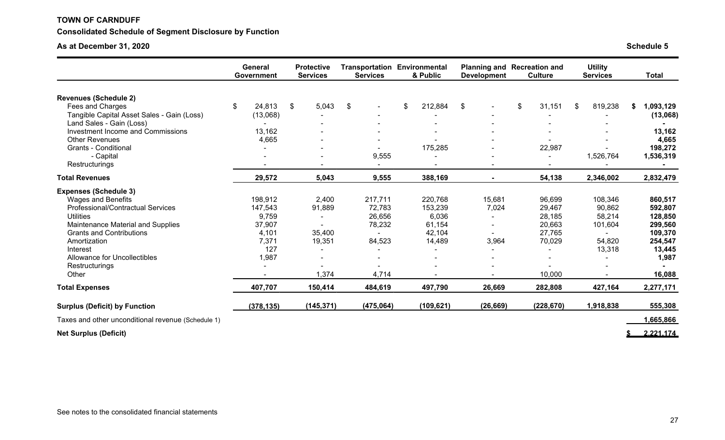# **Consolidated Schedule of Segment Disclosure by Function**

#### **As at December 31, 2020** Schedule 5

|  | <b>Schedule 5</b> |  |  |
|--|-------------------|--|--|
|  |                   |  |  |
|  |                   |  |  |

|                                                               | General<br>Government | <b>Protective</b><br><b>Services</b> |        | <b>Transportation Environmental</b><br><b>Services</b> | & Public      | <b>Development</b>   | <b>Planning and Recreation and</b><br><b>Culture</b> | <b>Utility</b><br><b>Services</b> | <b>Total</b>    |
|---------------------------------------------------------------|-----------------------|--------------------------------------|--------|--------------------------------------------------------|---------------|----------------------|------------------------------------------------------|-----------------------------------|-----------------|
| <b>Revenues (Schedule 2)</b>                                  |                       |                                      |        |                                                        |               |                      |                                                      |                                   |                 |
| Fees and Charges                                              | \$<br>24,813          | \$                                   | 5,043  | \$                                                     | \$<br>212,884 | \$<br>$\blacksquare$ | $\$\$<br>31,151                                      | \$<br>819,238                     | 1,093,129<br>\$ |
| Tangible Capital Asset Sales - Gain (Loss)                    | (13,068)              |                                      |        |                                                        |               |                      |                                                      |                                   | (13,068)        |
| Land Sales - Gain (Loss)<br>Investment Income and Commissions | 13,162                |                                      |        |                                                        |               |                      |                                                      |                                   | 13,162          |
| <b>Other Revenues</b>                                         | 4,665                 |                                      |        |                                                        |               |                      |                                                      |                                   | 4,665           |
| <b>Grants - Conditional</b>                                   |                       |                                      |        |                                                        | 175,285       |                      | 22,987                                               |                                   | 198,272         |
| - Capital                                                     |                       |                                      |        | 9,555                                                  |               |                      |                                                      | 1,526,764                         | 1,536,319       |
| Restructurings                                                |                       |                                      |        |                                                        |               |                      |                                                      |                                   |                 |
| <b>Total Revenues</b>                                         | 29,572                |                                      | 5,043  | 9,555                                                  | 388,169       | $\blacksquare$       | 54,138                                               | 2,346,002                         | 2,832,479       |
| <b>Expenses (Schedule 3)</b>                                  |                       |                                      |        |                                                        |               |                      |                                                      |                                   |                 |
| <b>Wages and Benefits</b>                                     | 198,912               |                                      | 2,400  | 217,711                                                | 220,768       | 15,681               | 96,699                                               | 108,346                           | 860,517         |
| Professional/Contractual Services                             | 147,543               | 91,889                               |        | 72,783                                                 | 153,239       | 7,024                | 29,467                                               | 90,862                            | 592,807         |
| <b>Utilities</b>                                              | 9,759                 | $\blacksquare$                       |        | 26,656                                                 | 6,036         |                      | 28,185                                               | 58,214                            | 128,850         |
| Maintenance Material and Supplies                             | 37,907                |                                      |        | 78,232                                                 | 61,154        |                      | 20,663                                               | 101,604                           | 299,560         |
| <b>Grants and Contributions</b>                               | 4,101                 |                                      | 35,400 |                                                        | 42,104        |                      | 27,765                                               |                                   | 109,370         |
| Amortization                                                  | 7,371                 | 19,351                               |        | 84,523                                                 | 14,489        | 3,964                | 70,029                                               | 54,820                            | 254,547         |
| Interest                                                      | 127                   |                                      |        |                                                        |               |                      |                                                      | 13,318                            | 13,445          |
| Allowance for Uncollectibles                                  | 1,987                 |                                      |        |                                                        |               |                      |                                                      |                                   | 1,987           |
| Restructurings                                                |                       |                                      |        |                                                        |               |                      |                                                      |                                   |                 |
| Other                                                         |                       |                                      | 1,374  | 4,714                                                  |               |                      | 10,000                                               |                                   | 16,088          |
| <b>Total Expenses</b>                                         | 407,707               | 150,414                              |        | 484,619                                                | 497,790       | 26,669               | 282,808                                              | 427,164                           | 2,277,171       |
| <b>Surplus (Deficit) by Function</b>                          | (378, 135)            | (145, 371)                           |        | (475,064)                                              | (109, 621)    | (26, 669)            | (228, 670)                                           | 1,918,838                         | 555,308         |
| Taxes and other unconditional revenue (Schedule 1)            |                       |                                      |        |                                                        |               |                      |                                                      |                                   | 1,665,866       |
|                                                               |                       |                                      |        |                                                        |               |                      |                                                      |                                   |                 |
| <b>Net Surplus (Deficit)</b>                                  |                       |                                      |        |                                                        |               |                      |                                                      |                                   | 2.221.174       |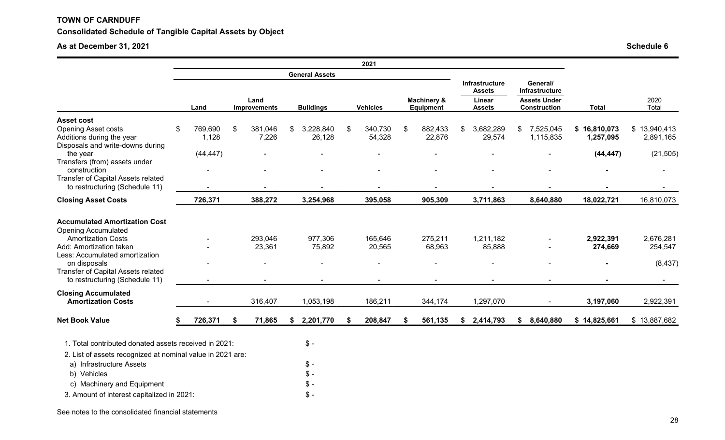# **TOWN OF CARNDUFF Consolidated Schedule of Tangible Capital Assets by Object**

### **As at December 31, 2021 Schedule 6**

|                                                                                                                                                              |                        |                        |    |                       | 2021                    |    |                   |                                                  |                                                   |                           |                           |
|--------------------------------------------------------------------------------------------------------------------------------------------------------------|------------------------|------------------------|----|-----------------------|-------------------------|----|-------------------|--------------------------------------------------|---------------------------------------------------|---------------------------|---------------------------|
|                                                                                                                                                              |                        |                        |    | <b>General Assets</b> |                         |    |                   |                                                  |                                                   |                           |                           |
|                                                                                                                                                              |                        | Land                   |    |                       |                         |    | Machinery &       | <b>Infrastructure</b><br><b>Assets</b><br>Linear | General/<br>Infrastructure<br><b>Assets Under</b> |                           | 2020                      |
|                                                                                                                                                              | Land                   | <b>Improvements</b>    |    | <b>Buildings</b>      | <b>Vehicles</b>         |    | <b>Equipment</b>  | <b>Assets</b>                                    | Construction                                      | <b>Total</b>              | Total                     |
| <b>Asset cost</b><br><b>Opening Asset costs</b><br>Additions during the year<br>Disposals and write-downs during                                             | \$<br>769,690<br>1,128 | \$<br>381,046<br>7,226 | \$ | 3,228,840<br>26,128   | \$<br>340,730<br>54,328 | \$ | 882,433<br>22,876 | \$<br>3,682,289<br>29,574                        | \$<br>7,525,045<br>1,115,835                      | \$16,810,073<br>1,257,095 | \$13,940,413<br>2,891,165 |
| the year                                                                                                                                                     | (44, 447)              |                        |    |                       |                         |    |                   |                                                  |                                                   | (44, 447)                 | (21, 505)                 |
| Transfers (from) assets under<br>construction<br>Transfer of Capital Assets related<br>to restructuring (Schedule 11)                                        |                        |                        |    |                       |                         |    |                   |                                                  |                                                   |                           |                           |
| <b>Closing Asset Costs</b>                                                                                                                                   | 726,371                | 388,272                |    | 3,254,968             | 395,058                 |    | 905,309           | 3,711,863                                        | 8,640,880                                         | 18,022,721                | 16,810,073                |
| <b>Accumulated Amortization Cost</b><br><b>Opening Accumulated</b><br><b>Amortization Costs</b><br>Add: Amortization taken<br>Less: Accumulated amortization |                        | 293,046<br>23,361      |    | 977,306<br>75,892     | 165,646<br>20,565       |    | 275,211<br>68,963 | 1,211,182<br>85,888                              |                                                   | 2,922,391<br>274,669      | 2,676,281<br>254,547      |
| on disposals<br>Transfer of Capital Assets related<br>to restructuring (Schedule 11)                                                                         |                        |                        |    |                       |                         |    |                   |                                                  |                                                   |                           | (8, 437)                  |
| <b>Closing Accumulated</b><br><b>Amortization Costs</b>                                                                                                      |                        | 316,407                |    | 1,053,198             | 186,211                 |    | 344,174           | 1,297,070                                        |                                                   | 3,197,060                 | 2,922,391                 |
| <b>Net Book Value</b>                                                                                                                                        | 726,371                | \$<br>71,865           | S. | 2,201,770             | \$<br>208,847           | S  | 561,135           | \$<br>2,414,793                                  | \$<br>8,640,880                                   | \$14,825,661              | \$13,887,682              |
| 1. Total contributed donated assets received in 2021:<br>2. List of assets recognized at nominal value in 2021 are:                                          |                        |                        |    | $\frac{1}{2}$         |                         |    |                   |                                                  |                                                   |                           |                           |
| a) Infrastructure Assets                                                                                                                                     |                        |                        |    | $\mathsf{\$}$ -       |                         |    |                   |                                                  |                                                   |                           |                           |
| b) Vehicles                                                                                                                                                  |                        |                        |    | $\frac{3}{2}$         |                         |    |                   |                                                  |                                                   |                           |                           |
| c) Machinery and Equipment                                                                                                                                   |                        |                        |    | $\mathsf{\$}$ -       |                         |    |                   |                                                  |                                                   |                           |                           |
| 3. Amount of interest capitalized in 2021:                                                                                                                   |                        |                        |    | $$ -$                 |                         |    |                   |                                                  |                                                   |                           |                           |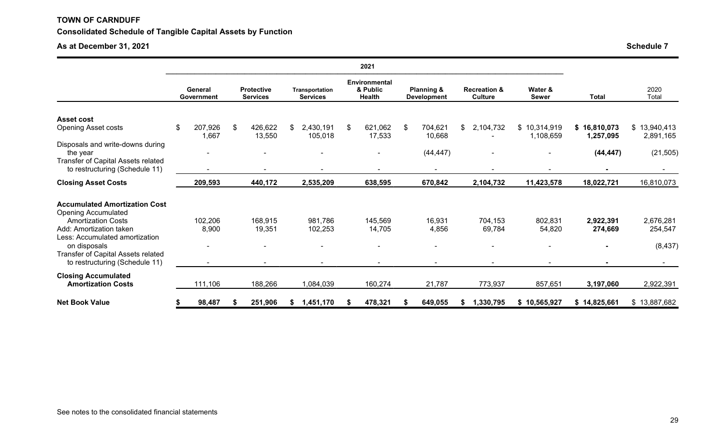### **TOWN OF CARNDUFF Consolidated Schedule of Tangible Capital Assets by Function**

#### **As at December 31, 2021 Schedule 7**

**Closing Accumulated**

Less: Accumulated amortization

Transfer of Capital Assets related

|                                                                      |                        |                                      |                                   | 2021                                       |                                             |                                           |                           |                               |                           |
|----------------------------------------------------------------------|------------------------|--------------------------------------|-----------------------------------|--------------------------------------------|---------------------------------------------|-------------------------------------------|---------------------------|-------------------------------|---------------------------|
|                                                                      | General<br>Government  | <b>Protective</b><br><b>Services</b> | Transportation<br><b>Services</b> | Environmental<br>& Public<br><b>Health</b> | <b>Planning &amp;</b><br><b>Development</b> | <b>Recreation &amp;</b><br><b>Culture</b> | Water &<br><b>Sewer</b>   | Total                         | 2020<br>Total             |
| <b>Asset cost</b>                                                    |                        |                                      |                                   |                                            |                                             |                                           |                           |                               |                           |
| <b>Opening Asset costs</b>                                           | \$<br>207,926<br>1,667 | \$<br>426,622<br>13,550              | \$<br>2,430,191<br>105,018        | \$<br>621,062<br>17,533                    | \$<br>704,621<br>10,668                     | \$<br>2,104,732                           | \$10,314,919<br>1,108,659 | 16,810,073<br>S.<br>1,257,095 | \$13,940,413<br>2,891,165 |
| Disposals and write-downs during<br>the year                         |                        |                                      |                                   |                                            | (44, 447)                                   | $\overline{\phantom{a}}$                  | $\blacksquare$            | (44, 447)                     | (21, 505)                 |
| Transfer of Capital Assets related<br>to restructuring (Schedule 11) |                        |                                      |                                   |                                            |                                             |                                           |                           |                               |                           |
| <b>Closing Asset Costs</b>                                           | 209,593                | 440,172                              | 2,535,209                         | 638,595                                    | 670,842                                     | 2,104,732                                 | 11,423,578                | 18,022,721                    | 16,810,073                |
| <b>Accumulated Amortization Cost</b><br><b>Opening Accumulated</b>   |                        |                                      |                                   |                                            |                                             |                                           |                           |                               |                           |
| <b>Amortization Costs</b><br>Add: Amortization taken                 | 102,206<br>8,900       | 168,915<br>19,351                    | 981,786<br>102,253                | 145,569<br>14,705                          | 16,931<br>4,856                             | 704,153<br>69,784                         | 802,831<br>54,820         | 2,922,391<br>274,669          | 2,676,281<br>254,547      |

on disposals - - - - - - - **-** (8,437)

to restructuring (Schedule 11) - - - - - - - **-** -

**Amortization Costs** 111,106 188,266 1,084,039 160,274 21,787 773,937 857,651 **3,197,060** 2,922,391

Net Book Value \$ 98,487 \$ 251,906 \$ 1,451,170 \$ 478,321 \$ 649,055 \$ 1,330,795 \$ 10,565,927 \$ 14,825,661 \$ 13,887,682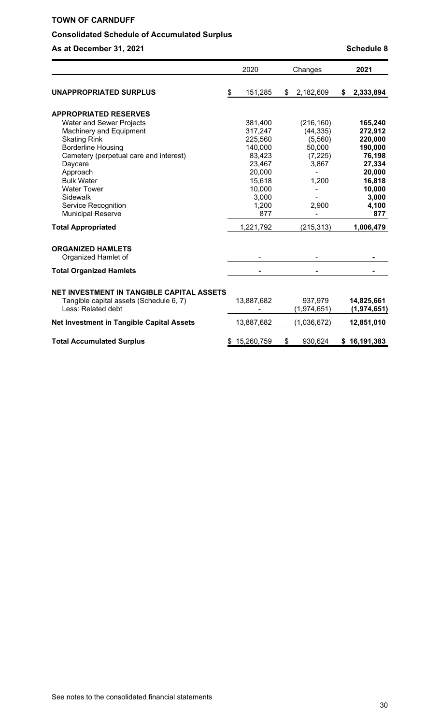# **Consolidated Schedule of Accumulated Surplus**

As at December 31, 2021 **As at December 31, 2021** 

|                                                                                                                   | 2020          | Changes                | 2021                      |
|-------------------------------------------------------------------------------------------------------------------|---------------|------------------------|---------------------------|
| UNAPPROPRIATED SURPLUS                                                                                            | \$<br>151,285 | \$<br>2,182,609        | \$<br>2,333,894           |
| <b>APPROPRIATED RESERVES</b>                                                                                      |               |                        |                           |
| Water and Sewer Projects                                                                                          | 381,400       | (216, 160)             | 165,240                   |
| <b>Machinery and Equipment</b>                                                                                    | 317,247       | (44, 335)              | 272,912                   |
| <b>Skating Rink</b>                                                                                               | 225,560       | (5,560)                | 220,000                   |
| <b>Borderline Housing</b>                                                                                         | 140,000       | 50,000                 | 190,000                   |
| Cemetery (perpetual care and interest)                                                                            | 83,423        | (7, 225)               | 76,198                    |
| Daycare                                                                                                           | 23,467        | 3,867                  | 27,334                    |
| Approach                                                                                                          | 20,000        |                        | 20,000                    |
| <b>Bulk Water</b>                                                                                                 | 15,618        | 1,200                  | 16,818                    |
| <b>Water Tower</b>                                                                                                | 10,000        |                        | 10,000                    |
| Sidewalk                                                                                                          | 3,000         |                        | 3,000                     |
| Service Recognition                                                                                               | 1,200         | 2,900                  | 4,100                     |
| <b>Municipal Reserve</b>                                                                                          | 877           |                        | 877                       |
| <b>Total Appropriated</b>                                                                                         | 1,221,792     | (215, 313)             | 1,006,479                 |
| <b>ORGANIZED HAMLETS</b><br>Organized Hamlet of                                                                   |               |                        |                           |
| <b>Total Organized Hamlets</b>                                                                                    |               |                        |                           |
|                                                                                                                   |               |                        |                           |
| <b>NET INVESTMENT IN TANGIBLE CAPITAL ASSETS</b><br>Tangible capital assets (Schedule 6, 7)<br>Less: Related debt | 13,887,682    | 937,979<br>(1,974,651) | 14,825,661<br>(1,974,651) |
| <b>Net Investment in Tangible Capital Assets</b>                                                                  | 13,887,682    | (1,036,672)            | 12,851,010                |
| <b>Total Accumulated Surplus</b>                                                                                  | 15,260,759    | \$<br>930,624          | \$16,191,383              |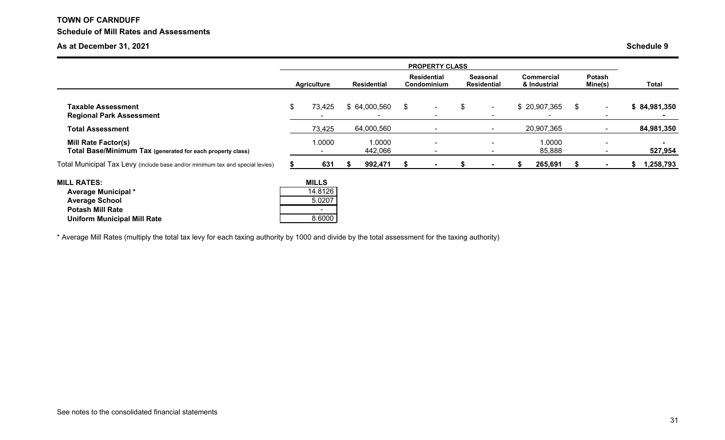# **TOWN OF CARNDUFF Schedule of Mill Rates and Assessments**

### **As at December 31, 2021 Schedule 9**

|                                                                                                                                            |                                             |                    |    | <b>PROPERTY CLASS</b>                    |                                            |                                   |    |                   |                |
|--------------------------------------------------------------------------------------------------------------------------------------------|---------------------------------------------|--------------------|----|------------------------------------------|--------------------------------------------|-----------------------------------|----|-------------------|----------------|
|                                                                                                                                            | <b>Agriculture</b>                          | <b>Residential</b> |    | <b>Residential</b><br><b>Condominium</b> | <b>Seasonal</b><br><b>Residential</b>      | <b>Commercial</b><br>& Industrial |    | Potash<br>Mine(s) | <b>Total</b>   |
| <b>Taxable Assessment</b><br><b>Regional Park Assessment</b>                                                                               | \$<br>73,425                                | \$64,000,560       | \$ | $\sim$                                   | \$<br>$\sim$                               | \$20,907,365                      | \$ | $\sim$            | \$84,981,350   |
| <b>Total Assessment</b>                                                                                                                    | 73,425                                      | 64,000,560         |    |                                          | $\sim$                                     | 20,907,365                        |    |                   | 84,981,350     |
| <b>Mill Rate Factor(s)</b><br>Total Base/Minimum Tax (generated for each property class)                                                   | 1.0000                                      | 1.0000<br>442,066  |    | $\blacksquare$                           | $\blacksquare$<br>$\overline{\phantom{0}}$ | 1.0000<br>85,888                  |    |                   | 527,954        |
| Total Municipal Tax Levy (include base and/or minimum tax and special levies)                                                              | 631                                         | 992,471            | ъ  | $\blacksquare$                           | $\sim$                                     | 265,691                           | ъ  | $\blacksquare$    | 1,258,793<br>S |
| <b>MILL RATES:</b><br><b>Average Municipal *</b><br><b>Average School</b><br><b>Potash Mill Rate</b><br><b>Uniform Municipal Mill Rate</b> | <b>MILLS</b><br>14.8126<br>5.0207<br>8.6000 |                    |    |                                          |                                            |                                   |    |                   |                |

\* Average Mill Rates (multiply the total tax levy for each taxing authority by 1000 and divide by the total assessment for the taxing authority)